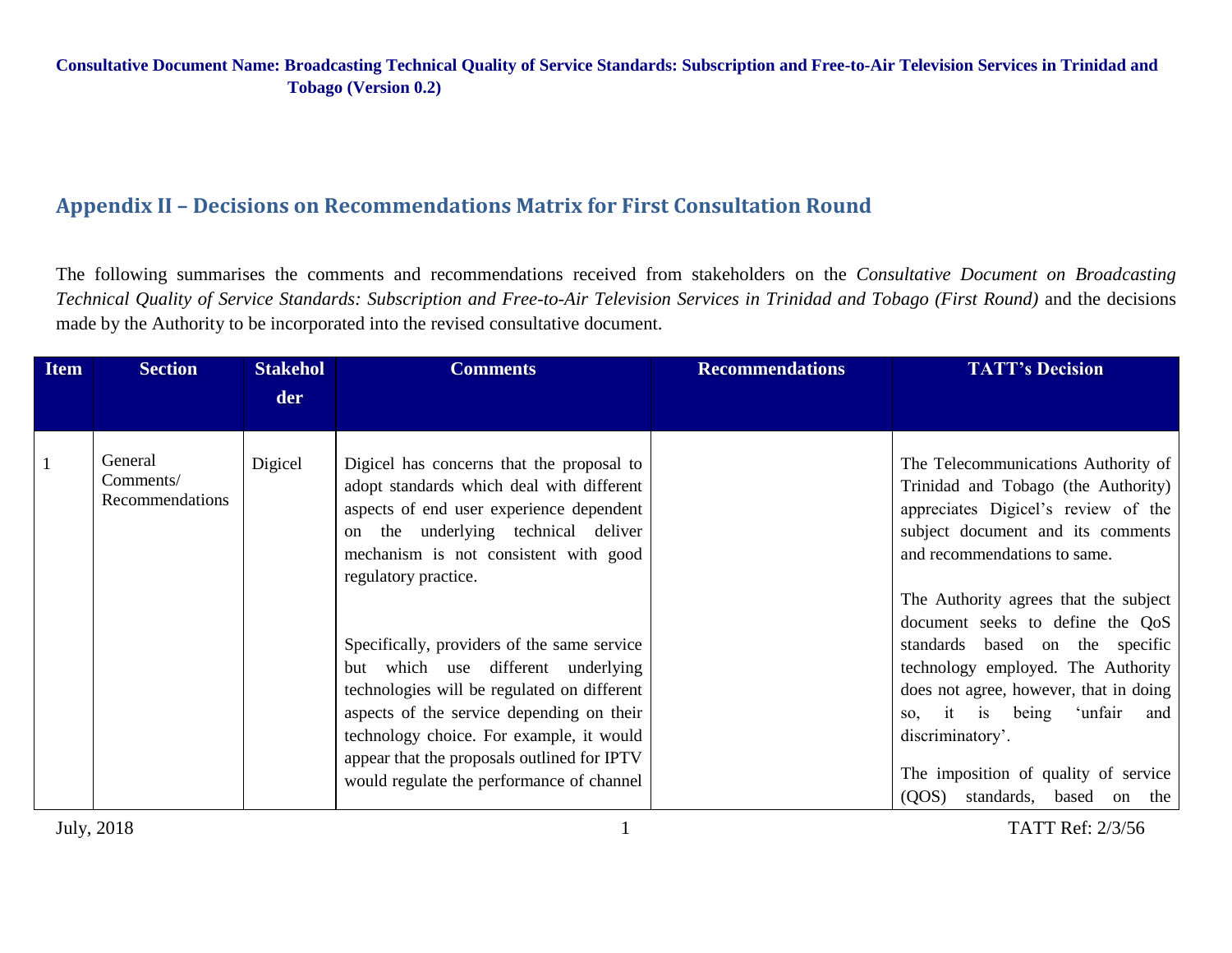# **Appendix II – Decisions on Recommendations Matrix for First Consultation Round**

The following summarises the comments and recommendations received from stakeholders on the *Consultative Document on Broadcasting Technical Quality of Service Standards: Subscription and Free-to-Air Television Services in Trinidad and Tobago (First Round)* and the decisions made by the Authority to be incorporated into the revised consultative document.

| <b>Item</b> | <b>Section</b>                          | <b>Stakehol</b> | <b>Comments</b>                                                                                                                                                                                                                                                                                                                                                                                                                                                                                                                                                        | <b>Recommendations</b> | <b>TATT's Decision</b>                                                                                                                                                                                                                                                                                                                                                                                                                                                                                                      |
|-------------|-----------------------------------------|-----------------|------------------------------------------------------------------------------------------------------------------------------------------------------------------------------------------------------------------------------------------------------------------------------------------------------------------------------------------------------------------------------------------------------------------------------------------------------------------------------------------------------------------------------------------------------------------------|------------------------|-----------------------------------------------------------------------------------------------------------------------------------------------------------------------------------------------------------------------------------------------------------------------------------------------------------------------------------------------------------------------------------------------------------------------------------------------------------------------------------------------------------------------------|
|             |                                         | der             |                                                                                                                                                                                                                                                                                                                                                                                                                                                                                                                                                                        |                        |                                                                                                                                                                                                                                                                                                                                                                                                                                                                                                                             |
|             | General<br>Comments/<br>Recommendations | Digicel         | Digicel has concerns that the proposal to<br>adopt standards which deal with different<br>aspects of end user experience dependent<br>the underlying technical deliver<br>on<br>mechanism is not consistent with good<br>regulatory practice.<br>Specifically, providers of the same service<br>but which use different underlying<br>technologies will be regulated on different<br>aspects of the service depending on their<br>technology choice. For example, it would<br>appear that the proposals outlined for IPTV<br>would regulate the performance of channel |                        | The Telecommunications Authority of<br>Trinidad and Tobago (the Authority)<br>appreciates Digicel's review of the<br>subject document and its comments<br>and recommendations to same.<br>The Authority agrees that the subject<br>document seeks to define the QoS<br>standards based on the specific<br>technology employed. The Authority<br>does not agree, however, that in doing<br>so, it is being<br>ʻunfair<br>and<br>discriminatory'.<br>The imposition of quality of service<br>(QOS)<br>standards, based on the |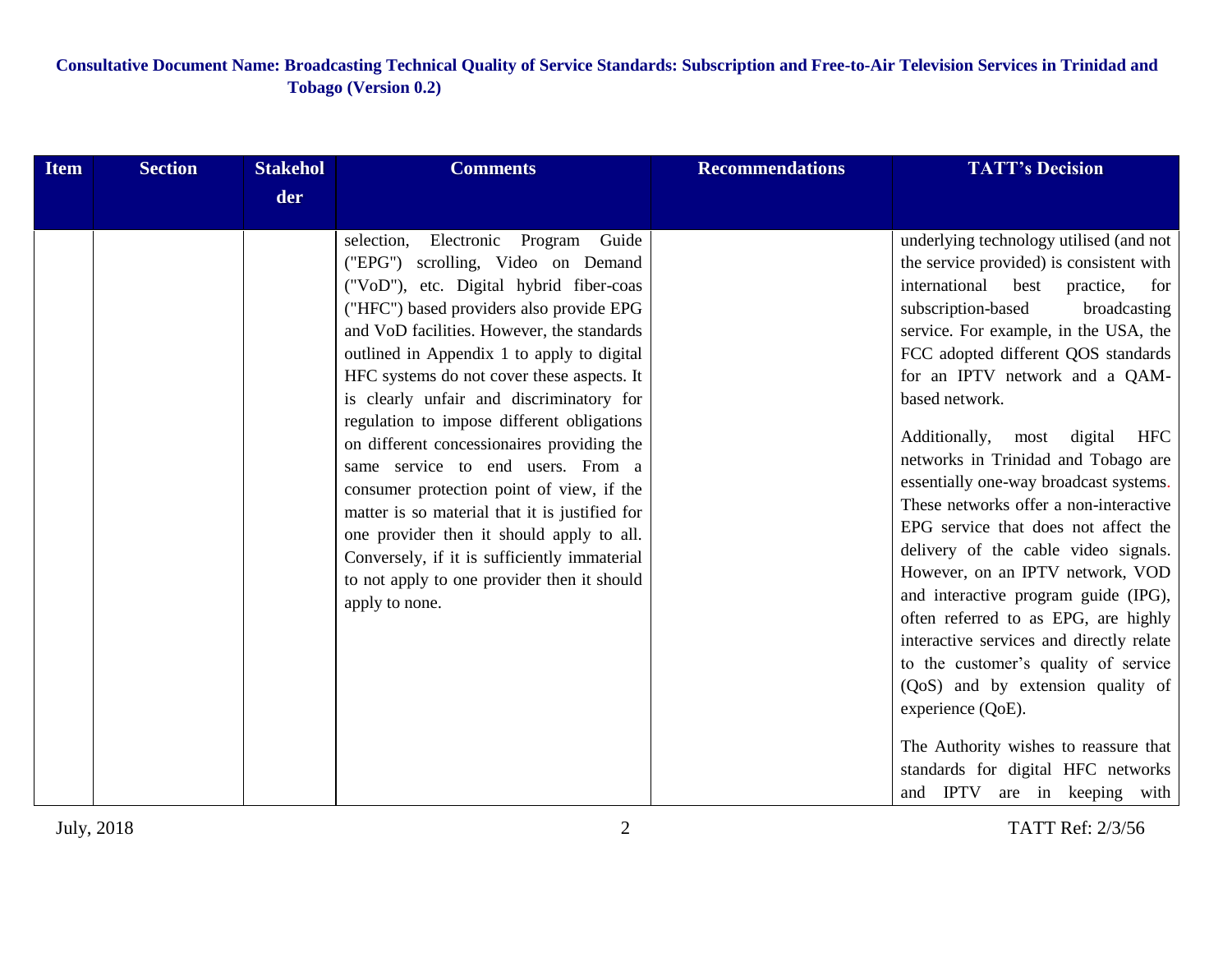| <b>Item</b> | <b>Section</b> | <b>Stakehol</b> | <b>Comments</b>                                                                                                                                                                                                                                                                                                                                                                                                                                                                                                                                                                                                                                                                                                                                            | <b>Recommendations</b> | <b>TATT's Decision</b>                                                                                                                                                                                                                                                                                                                                                                                                                                                                                                                                                                                                                                                                                                                                                                                                                                                                                                                                   |
|-------------|----------------|-----------------|------------------------------------------------------------------------------------------------------------------------------------------------------------------------------------------------------------------------------------------------------------------------------------------------------------------------------------------------------------------------------------------------------------------------------------------------------------------------------------------------------------------------------------------------------------------------------------------------------------------------------------------------------------------------------------------------------------------------------------------------------------|------------------------|----------------------------------------------------------------------------------------------------------------------------------------------------------------------------------------------------------------------------------------------------------------------------------------------------------------------------------------------------------------------------------------------------------------------------------------------------------------------------------------------------------------------------------------------------------------------------------------------------------------------------------------------------------------------------------------------------------------------------------------------------------------------------------------------------------------------------------------------------------------------------------------------------------------------------------------------------------|
|             |                | der             |                                                                                                                                                                                                                                                                                                                                                                                                                                                                                                                                                                                                                                                                                                                                                            |                        |                                                                                                                                                                                                                                                                                                                                                                                                                                                                                                                                                                                                                                                                                                                                                                                                                                                                                                                                                          |
|             |                |                 | selection,<br>Electronic Program<br>Guide<br>("EPG") scrolling, Video on Demand<br>("VoD"), etc. Digital hybrid fiber-coas<br>("HFC") based providers also provide EPG<br>and VoD facilities. However, the standards<br>outlined in Appendix 1 to apply to digital<br>HFC systems do not cover these aspects. It<br>is clearly unfair and discriminatory for<br>regulation to impose different obligations<br>on different concessionaires providing the<br>same service to end users. From a<br>consumer protection point of view, if the<br>matter is so material that it is justified for<br>one provider then it should apply to all.<br>Conversely, if it is sufficiently immaterial<br>to not apply to one provider then it should<br>apply to none. |                        | underlying technology utilised (and not<br>the service provided) is consistent with<br>international<br>best<br>practice,<br>for<br>subscription-based<br>broadcasting<br>service. For example, in the USA, the<br>FCC adopted different QOS standards<br>for an IPTV network and a QAM-<br>based network.<br>Additionally,<br>digital<br><b>HFC</b><br>most<br>networks in Trinidad and Tobago are<br>essentially one-way broadcast systems.<br>These networks offer a non-interactive<br>EPG service that does not affect the<br>delivery of the cable video signals.<br>However, on an IPTV network, VOD<br>and interactive program guide (IPG),<br>often referred to as EPG, are highly<br>interactive services and directly relate<br>to the customer's quality of service<br>(QoS) and by extension quality of<br>experience (QoE).<br>The Authority wishes to reassure that<br>standards for digital HFC networks<br>and IPTV are in keeping with |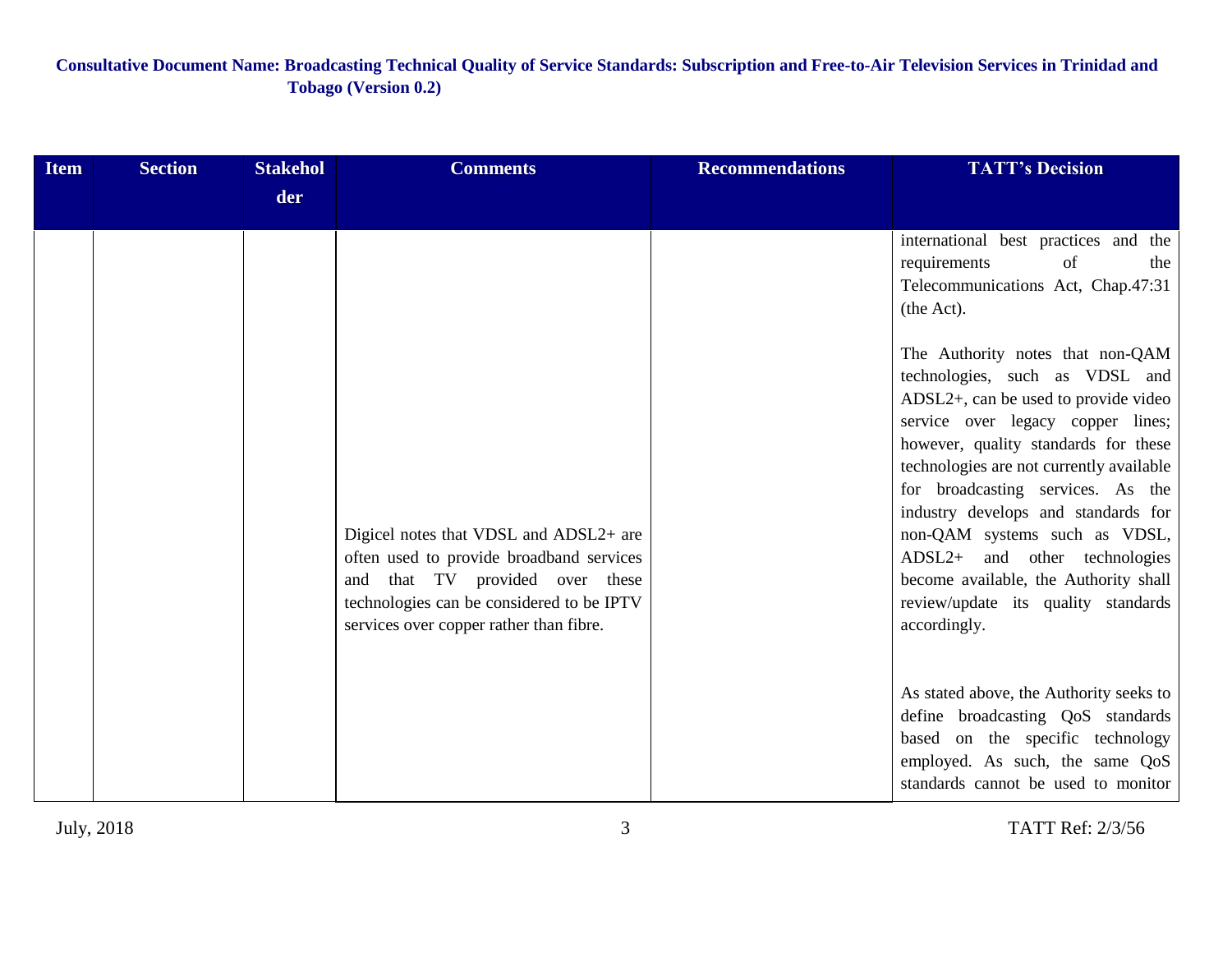| <b>Item</b> | <b>Section</b> | <b>Stakehol</b> | <b>Comments</b>                                                                                                                                                                                               | <b>Recommendations</b> | <b>TATT's Decision</b>                                                                                                                                                                                                                                                                                                                                                                                                                                                            |
|-------------|----------------|-----------------|---------------------------------------------------------------------------------------------------------------------------------------------------------------------------------------------------------------|------------------------|-----------------------------------------------------------------------------------------------------------------------------------------------------------------------------------------------------------------------------------------------------------------------------------------------------------------------------------------------------------------------------------------------------------------------------------------------------------------------------------|
|             |                | der             |                                                                                                                                                                                                               |                        |                                                                                                                                                                                                                                                                                                                                                                                                                                                                                   |
|             |                |                 |                                                                                                                                                                                                               |                        | international best practices and the<br>requirements<br>of<br>the<br>Telecommunications Act, Chap.47:31<br>(the Act).                                                                                                                                                                                                                                                                                                                                                             |
|             |                |                 | Digicel notes that VDSL and ADSL2+ are<br>often used to provide broadband services<br>and that TV provided over these<br>technologies can be considered to be IPTV<br>services over copper rather than fibre. |                        | The Authority notes that non-QAM<br>technologies, such as VDSL and<br>ADSL2+, can be used to provide video<br>service over legacy copper lines;<br>however, quality standards for these<br>technologies are not currently available<br>for broadcasting services. As the<br>industry develops and standards for<br>non-QAM systems such as VDSL,<br>ADSL2+ and other technologies<br>become available, the Authority shall<br>review/update its quality standards<br>accordingly. |
|             |                |                 |                                                                                                                                                                                                               |                        | As stated above, the Authority seeks to<br>define broadcasting QoS standards<br>based on the specific technology<br>employed. As such, the same QoS<br>standards cannot be used to monitor                                                                                                                                                                                                                                                                                        |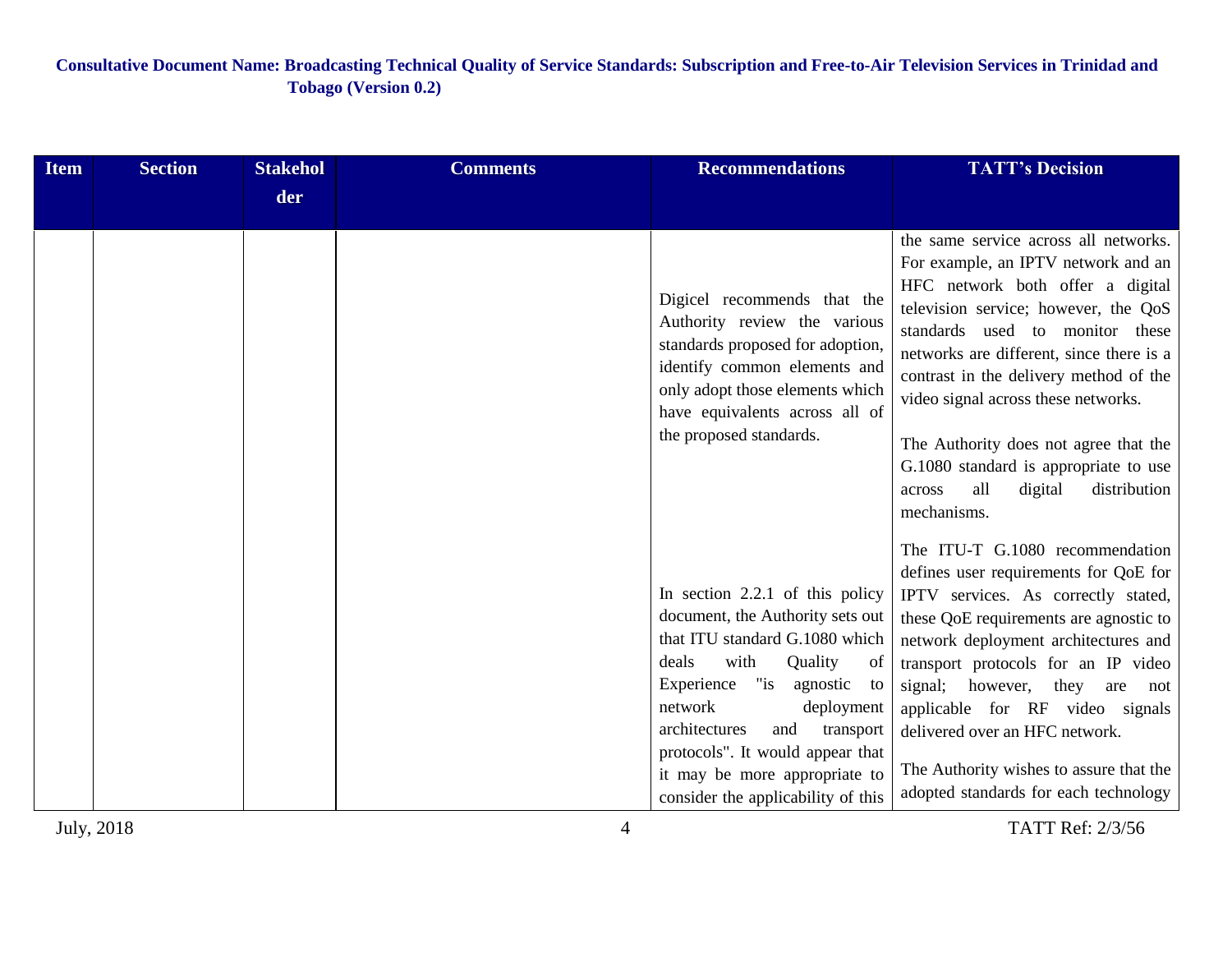| Item | <b>Section</b> | <b>Stakehol</b> | <b>Comments</b> | <b>Recommendations</b>                                                                                                                                                                                                          | <b>TATT's Decision</b>                                                                                                                                                                                                                                                                                                   |
|------|----------------|-----------------|-----------------|---------------------------------------------------------------------------------------------------------------------------------------------------------------------------------------------------------------------------------|--------------------------------------------------------------------------------------------------------------------------------------------------------------------------------------------------------------------------------------------------------------------------------------------------------------------------|
|      |                | der             |                 |                                                                                                                                                                                                                                 |                                                                                                                                                                                                                                                                                                                          |
|      |                |                 |                 | Digicel recommends that the<br>Authority review the various<br>standards proposed for adoption,<br>identify common elements and<br>only adopt those elements which<br>have equivalents across all of<br>the proposed standards. | the same service across all networks.<br>For example, an IPTV network and an<br>HFC network both offer a digital<br>television service; however, the QoS<br>standards used to monitor these<br>networks are different, since there is a<br>contrast in the delivery method of the<br>video signal across these networks. |
|      |                |                 |                 |                                                                                                                                                                                                                                 | The Authority does not agree that the<br>G.1080 standard is appropriate to use<br>all<br>digital<br>distribution<br>across<br>mechanisms.<br>The ITU-T G.1080 recommendation                                                                                                                                             |
|      |                |                 |                 | In section $2.2.1$ of this policy                                                                                                                                                                                               | defines user requirements for QoE for<br>IPTV services. As correctly stated,                                                                                                                                                                                                                                             |
|      |                |                 |                 | document, the Authority sets out                                                                                                                                                                                                | these QoE requirements are agnostic to                                                                                                                                                                                                                                                                                   |
|      |                |                 |                 | that ITU standard G.1080 which                                                                                                                                                                                                  | network deployment architectures and                                                                                                                                                                                                                                                                                     |
|      |                |                 |                 | deals<br>with<br>Quality<br>of                                                                                                                                                                                                  | transport protocols for an IP video                                                                                                                                                                                                                                                                                      |
|      |                |                 |                 | Experience<br>$"$ is<br>agnostic<br>to<br>network                                                                                                                                                                               | signal; however,<br>they<br>are<br>not                                                                                                                                                                                                                                                                                   |
|      |                |                 |                 | deployment<br>architectures<br>and<br>transport                                                                                                                                                                                 | applicable for RF video signals<br>delivered over an HFC network.                                                                                                                                                                                                                                                        |
|      |                |                 |                 | protocols". It would appear that<br>it may be more appropriate to<br>consider the applicability of this                                                                                                                         | The Authority wishes to assure that the<br>adopted standards for each technology                                                                                                                                                                                                                                         |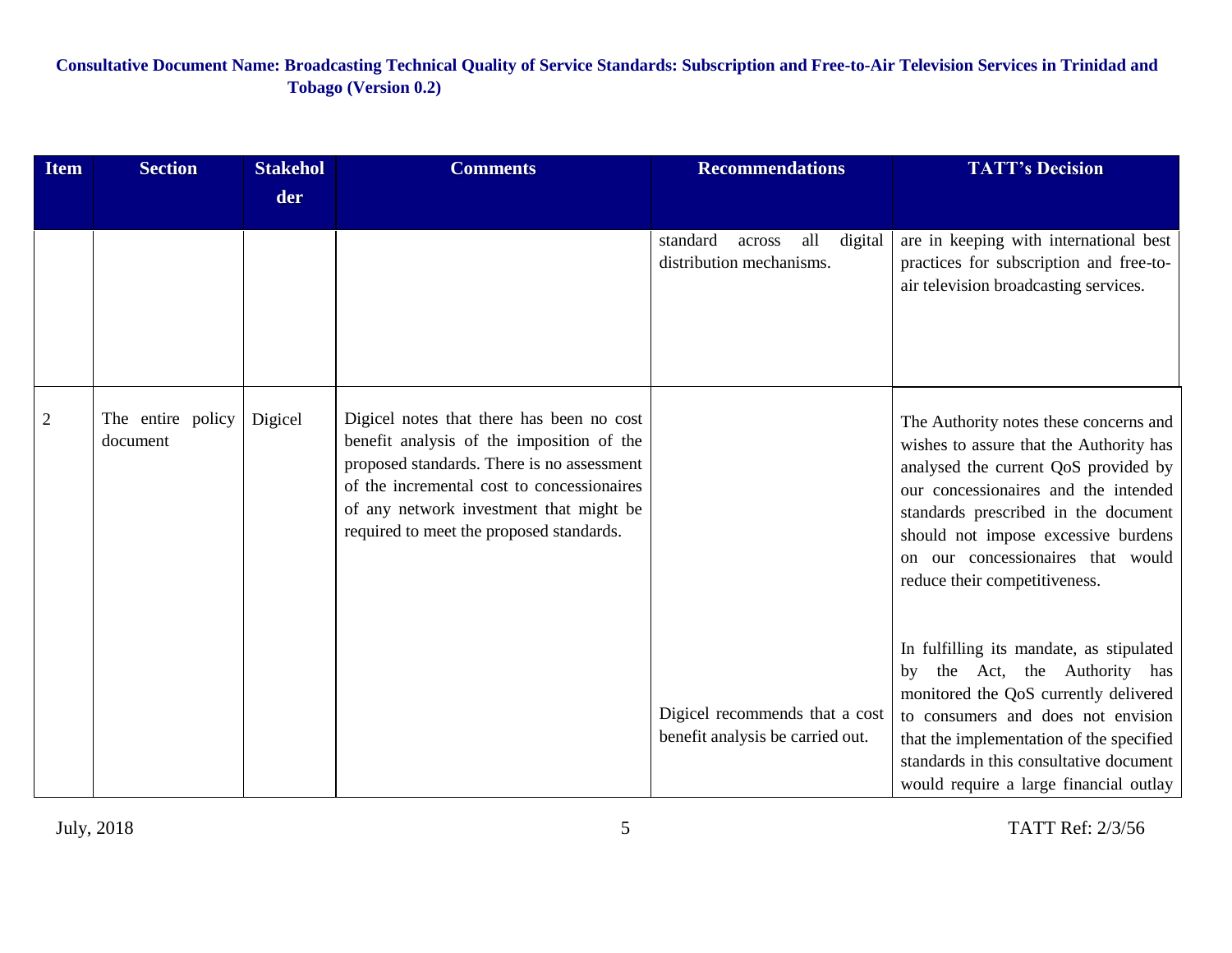| <b>Item</b>    | <b>Section</b>                | <b>Stakehol</b> | <b>Comments</b>                                                                                                                                                                                                                                                           | <b>Recommendations</b>                                             | <b>TATT's Decision</b>                                                                                                                                                                                                                                                                                                 |
|----------------|-------------------------------|-----------------|---------------------------------------------------------------------------------------------------------------------------------------------------------------------------------------------------------------------------------------------------------------------------|--------------------------------------------------------------------|------------------------------------------------------------------------------------------------------------------------------------------------------------------------------------------------------------------------------------------------------------------------------------------------------------------------|
|                |                               | der             |                                                                                                                                                                                                                                                                           |                                                                    |                                                                                                                                                                                                                                                                                                                        |
|                |                               |                 |                                                                                                                                                                                                                                                                           | standard<br>all<br>digital<br>across<br>distribution mechanisms.   | are in keeping with international best<br>practices for subscription and free-to-<br>air television broadcasting services.                                                                                                                                                                                             |
| $\overline{2}$ | The entire policy<br>document | Digicel         | Digicel notes that there has been no cost<br>benefit analysis of the imposition of the<br>proposed standards. There is no assessment<br>of the incremental cost to concessionaires<br>of any network investment that might be<br>required to meet the proposed standards. |                                                                    | The Authority notes these concerns and<br>wishes to assure that the Authority has<br>analysed the current QoS provided by<br>our concessionaires and the intended<br>standards prescribed in the document<br>should not impose excessive burdens<br>on our concessionaires that would<br>reduce their competitiveness. |
|                |                               |                 |                                                                                                                                                                                                                                                                           | Digicel recommends that a cost<br>benefit analysis be carried out. | In fulfilling its mandate, as stipulated<br>the Act, the Authority has<br>by<br>monitored the QoS currently delivered<br>to consumers and does not envision<br>that the implementation of the specified<br>standards in this consultative document<br>would require a large financial outlay                           |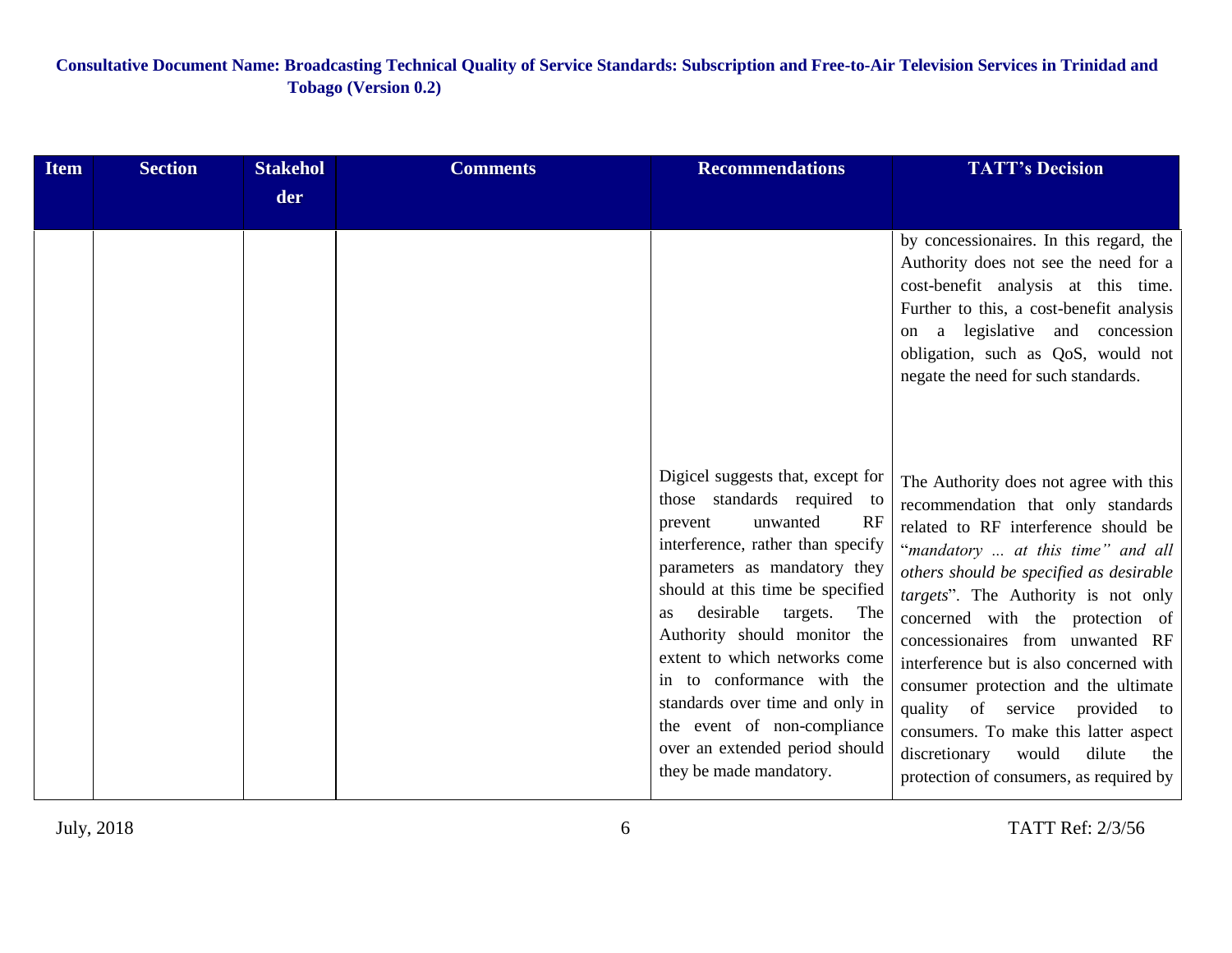| <b>Item</b> | <b>Section</b> | <b>Stakehol</b> | <b>Comments</b> | <b>Recommendations</b>                                                                                                                                                                                                                                                                                                                                                                                                                                                     | <b>TATT's Decision</b>                                                                                                                                                                                                                                                                                                                                                                                                                                                                                                                                                  |
|-------------|----------------|-----------------|-----------------|----------------------------------------------------------------------------------------------------------------------------------------------------------------------------------------------------------------------------------------------------------------------------------------------------------------------------------------------------------------------------------------------------------------------------------------------------------------------------|-------------------------------------------------------------------------------------------------------------------------------------------------------------------------------------------------------------------------------------------------------------------------------------------------------------------------------------------------------------------------------------------------------------------------------------------------------------------------------------------------------------------------------------------------------------------------|
|             |                | der             |                 |                                                                                                                                                                                                                                                                                                                                                                                                                                                                            |                                                                                                                                                                                                                                                                                                                                                                                                                                                                                                                                                                         |
|             |                |                 |                 |                                                                                                                                                                                                                                                                                                                                                                                                                                                                            | by concessionaires. In this regard, the<br>Authority does not see the need for a<br>cost-benefit analysis at this time.<br>Further to this, a cost-benefit analysis<br>a legislative and concession<br>on<br>obligation, such as QoS, would not<br>negate the need for such standards.                                                                                                                                                                                                                                                                                  |
|             |                |                 |                 | Digicel suggests that, except for<br>those standards required to<br>RF<br>unwanted<br>prevent<br>interference, rather than specify<br>parameters as mandatory they<br>should at this time be specified<br>desirable<br>targets.<br>The<br>as<br>Authority should monitor the<br>extent to which networks come<br>in to conformance with the<br>standards over time and only in<br>the event of non-compliance<br>over an extended period should<br>they be made mandatory. | The Authority does not agree with this<br>recommendation that only standards<br>related to RF interference should be<br>"mandatory  at this time" and all<br>others should be specified as desirable<br>targets". The Authority is not only<br>concerned with the protection of<br>concessionaires from unwanted RF<br>interference but is also concerned with<br>consumer protection and the ultimate<br>quality of service provided to<br>consumers. To make this latter aspect<br>discretionary<br>would<br>dilute<br>the<br>protection of consumers, as required by |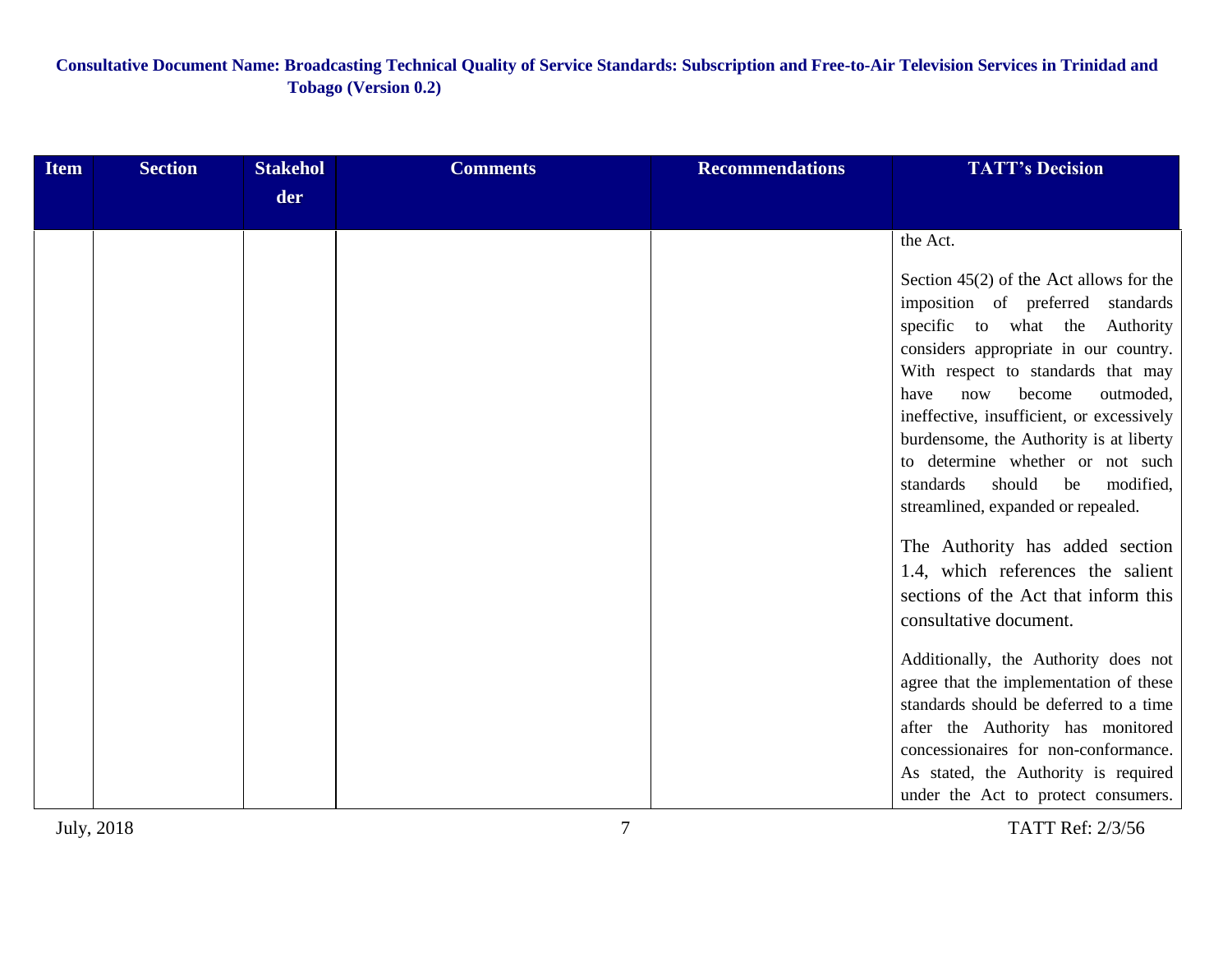| <b>Item</b> | <b>Section</b> | <b>Stakehol</b> | <b>Comments</b> | <b>Recommendations</b> | <b>TATT's Decision</b>                                                               |
|-------------|----------------|-----------------|-----------------|------------------------|--------------------------------------------------------------------------------------|
|             |                | der             |                 |                        |                                                                                      |
|             |                |                 |                 |                        | the Act.                                                                             |
|             |                |                 |                 |                        | Section $45(2)$ of the Act allows for the<br>imposition of preferred standards       |
|             |                |                 |                 |                        | specific to what the<br>Authority                                                    |
|             |                |                 |                 |                        | considers appropriate in our country.<br>With respect to standards that may          |
|             |                |                 |                 |                        | outmoded,<br>become<br>now<br>have                                                   |
|             |                |                 |                 |                        | ineffective, insufficient, or excessively<br>burdensome, the Authority is at liberty |
|             |                |                 |                 |                        | to determine whether or not such                                                     |
|             |                |                 |                 |                        | standards<br>should<br>be<br>modified,<br>streamlined, expanded or repealed.         |
|             |                |                 |                 |                        | The Authority has added section                                                      |
|             |                |                 |                 |                        | 1.4, which references the salient                                                    |
|             |                |                 |                 |                        | sections of the Act that inform this                                                 |
|             |                |                 |                 |                        | consultative document.                                                               |
|             |                |                 |                 |                        | Additionally, the Authority does not<br>agree that the implementation of these       |
|             |                |                 |                 |                        | standards should be deferred to a time                                               |
|             |                |                 |                 |                        | after the Authority has monitored<br>concessionaires for non-conformance.            |
|             |                |                 |                 |                        | As stated, the Authority is required                                                 |
|             |                |                 |                 |                        | under the Act to protect consumers.                                                  |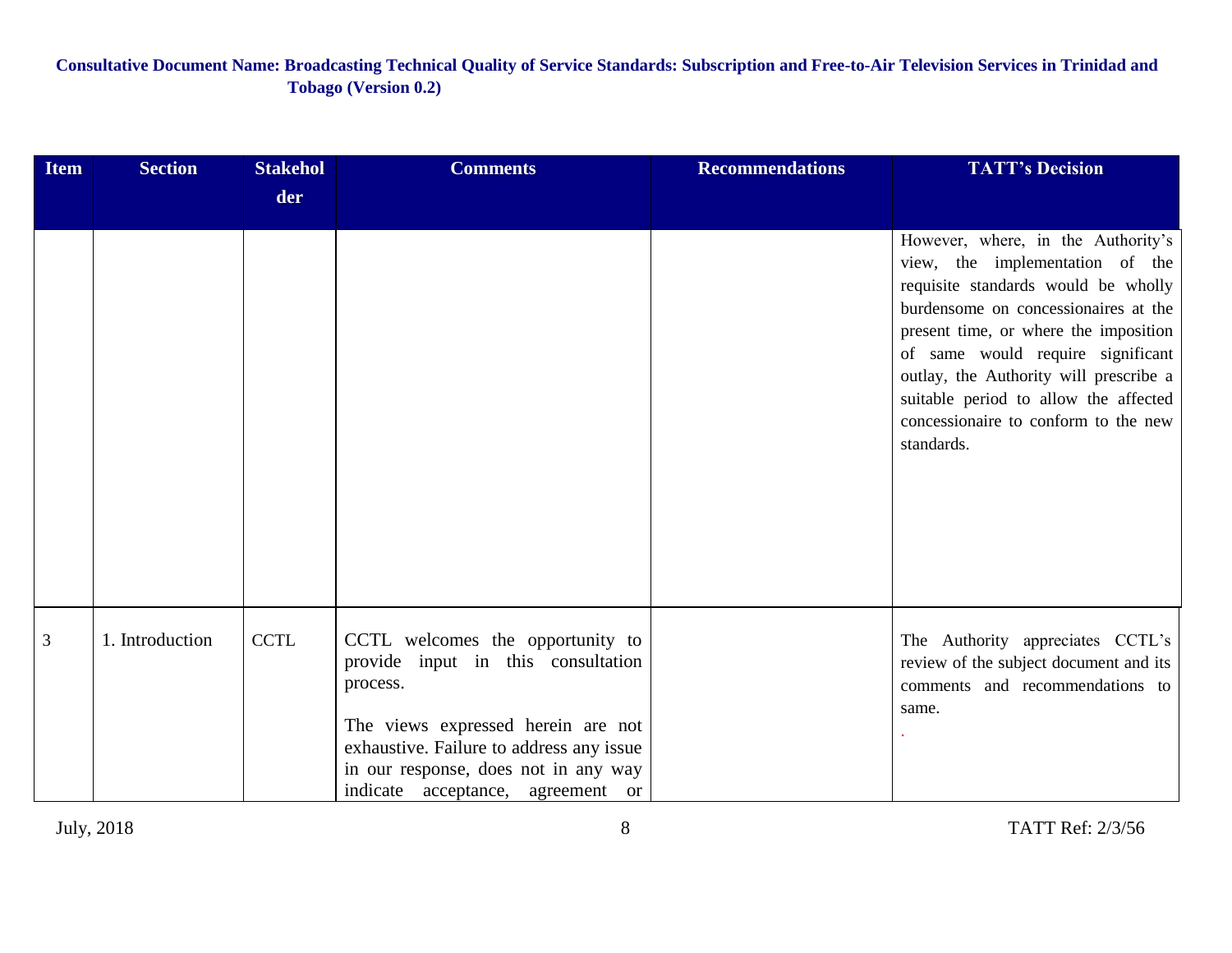| <b>Item</b> | <b>Section</b>  | <b>Stakehol</b> | <b>Comments</b>                                                                                                                                                                                                                                   | <b>Recommendations</b> | <b>TATT's Decision</b>                                                                                                                                                                                                                                                                                                                                                      |
|-------------|-----------------|-----------------|---------------------------------------------------------------------------------------------------------------------------------------------------------------------------------------------------------------------------------------------------|------------------------|-----------------------------------------------------------------------------------------------------------------------------------------------------------------------------------------------------------------------------------------------------------------------------------------------------------------------------------------------------------------------------|
|             |                 | der             |                                                                                                                                                                                                                                                   |                        |                                                                                                                                                                                                                                                                                                                                                                             |
|             |                 |                 |                                                                                                                                                                                                                                                   |                        | However, where, in the Authority's<br>view, the implementation of the<br>requisite standards would be wholly<br>burdensome on concessionaires at the<br>present time, or where the imposition<br>of same would require significant<br>outlay, the Authority will prescribe a<br>suitable period to allow the affected<br>concessionaire to conform to the new<br>standards. |
| 3           | 1. Introduction | <b>CCTL</b>     | CCTL welcomes the opportunity to<br>provide input in this consultation<br>process.<br>The views expressed herein are not<br>exhaustive. Failure to address any issue<br>in our response, does not in any way<br>indicate acceptance, agreement or |                        | The Authority appreciates CCTL's<br>review of the subject document and its<br>comments and recommendations to<br>same.                                                                                                                                                                                                                                                      |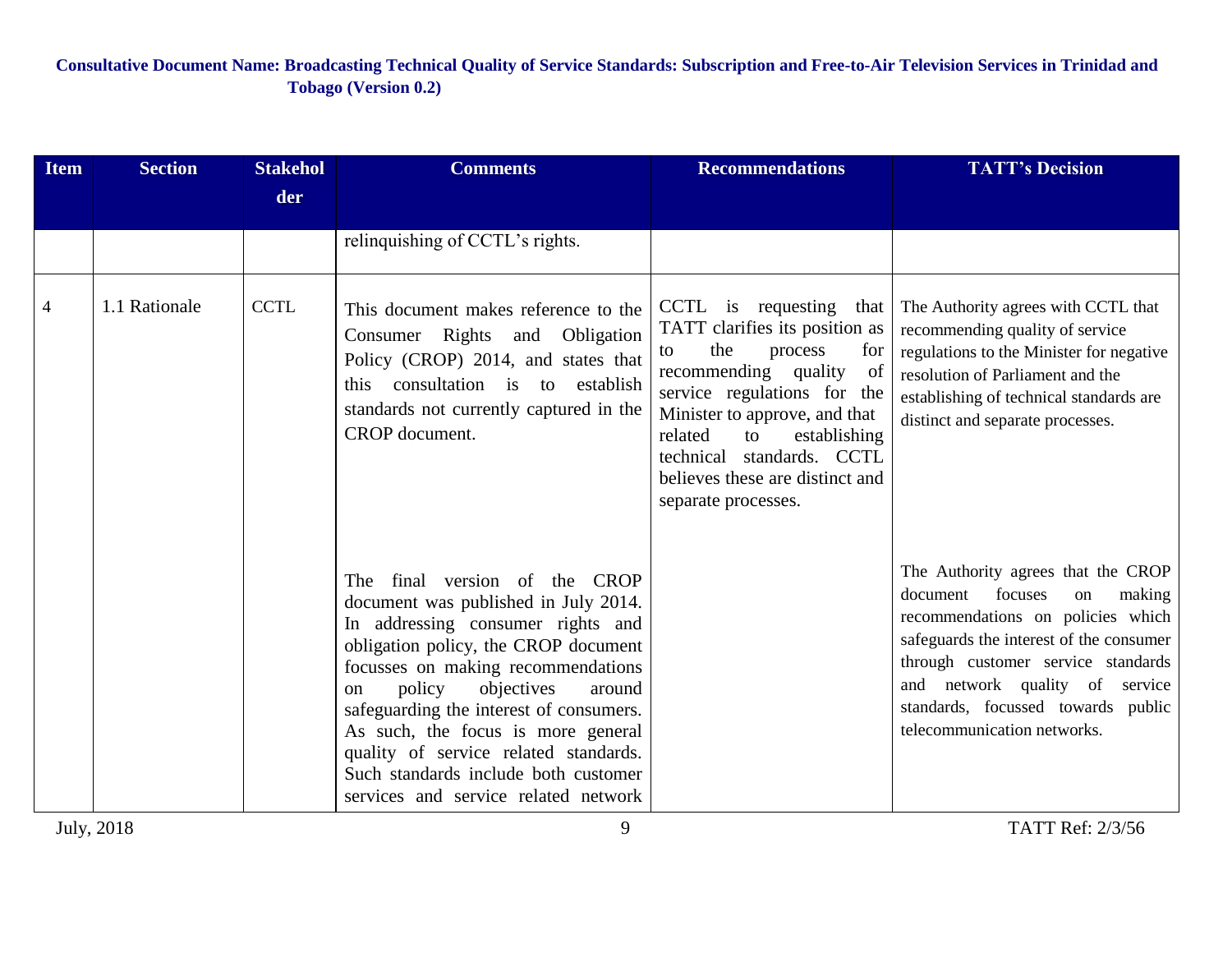| <b>Item</b>    | <b>Section</b> | <b>Stakehol</b> | <b>Comments</b>                                                                                                                                                                                                                                                                                                                                                                                                                                                 | <b>Recommendations</b>                                                                                                                                                                                                                                                                                            | <b>TATT's Decision</b>                                                                                                                                                                                                                                                                                 |
|----------------|----------------|-----------------|-----------------------------------------------------------------------------------------------------------------------------------------------------------------------------------------------------------------------------------------------------------------------------------------------------------------------------------------------------------------------------------------------------------------------------------------------------------------|-------------------------------------------------------------------------------------------------------------------------------------------------------------------------------------------------------------------------------------------------------------------------------------------------------------------|--------------------------------------------------------------------------------------------------------------------------------------------------------------------------------------------------------------------------------------------------------------------------------------------------------|
|                |                | der             |                                                                                                                                                                                                                                                                                                                                                                                                                                                                 |                                                                                                                                                                                                                                                                                                                   |                                                                                                                                                                                                                                                                                                        |
|                |                |                 | relinquishing of CCTL's rights.                                                                                                                                                                                                                                                                                                                                                                                                                                 |                                                                                                                                                                                                                                                                                                                   |                                                                                                                                                                                                                                                                                                        |
| $\overline{4}$ | 1.1 Rationale  | <b>CCTL</b>     | This document makes reference to the<br>Consumer Rights and Obligation<br>Policy (CROP) 2014, and states that<br>this consultation is to<br>establish<br>standards not currently captured in the<br>CROP document.                                                                                                                                                                                                                                              | CCTL is requesting<br>that<br>TATT clarifies its position as<br>the<br>process<br>for<br>to<br>recommending quality<br>of<br>service regulations for the<br>Minister to approve, and that<br>related<br>to<br>establishing<br>technical standards. CCTL<br>believes these are distinct and<br>separate processes. | The Authority agrees with CCTL that<br>recommending quality of service<br>regulations to the Minister for negative<br>resolution of Parliament and the<br>establishing of technical standards are<br>distinct and separate processes.                                                                  |
|                |                |                 | The final version of the<br><b>CROP</b><br>document was published in July 2014.<br>In addressing consumer rights and<br>obligation policy, the CROP document<br>focusses on making recommendations<br>policy<br>objectives<br>around<br><sub>on</sub><br>safeguarding the interest of consumers.<br>As such, the focus is more general<br>quality of service related standards.<br>Such standards include both customer<br>services and service related network |                                                                                                                                                                                                                                                                                                                   | The Authority agrees that the CROP<br>focuses<br>document<br>making<br>on<br>recommendations on policies which<br>safeguards the interest of the consumer<br>through customer service standards<br>and network quality of service<br>standards, focussed towards public<br>telecommunication networks. |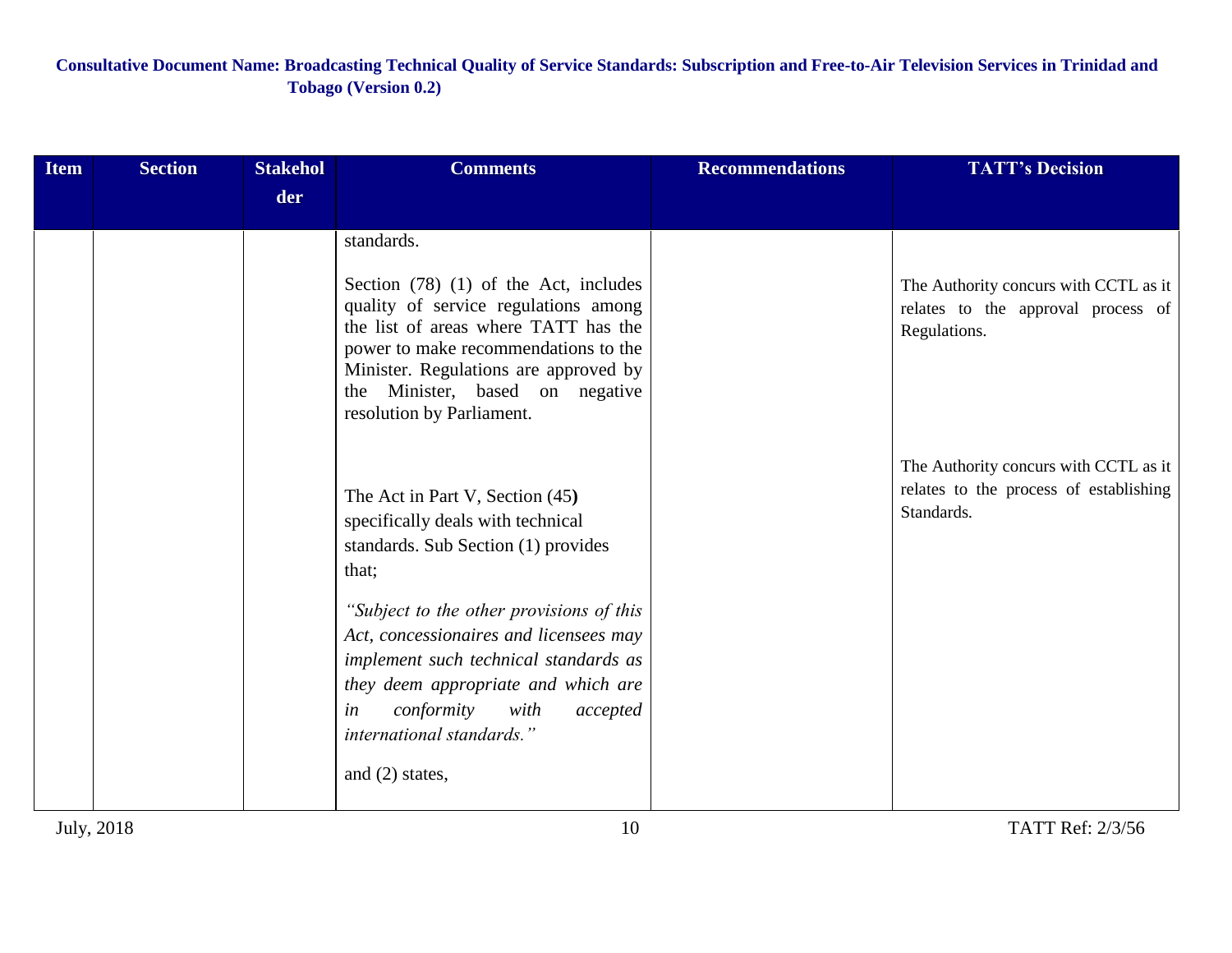| <b>Item</b> | <b>Section</b> | <b>Stakehol</b> | <b>Comments</b>                                                                                                                                                                                                                                                                          | <b>Recommendations</b> | <b>TATT's Decision</b>                                                                        |
|-------------|----------------|-----------------|------------------------------------------------------------------------------------------------------------------------------------------------------------------------------------------------------------------------------------------------------------------------------------------|------------------------|-----------------------------------------------------------------------------------------------|
|             |                | der             |                                                                                                                                                                                                                                                                                          |                        |                                                                                               |
|             |                |                 | standards.<br>Section $(78)$ $(1)$ of the Act, includes<br>quality of service regulations among<br>the list of areas where TATT has the<br>power to make recommendations to the<br>Minister. Regulations are approved by<br>the Minister, based on negative<br>resolution by Parliament. |                        | The Authority concurs with CCTL as it<br>relates to the approval process of<br>Regulations.   |
|             |                |                 | The Act in Part V, Section (45)<br>specifically deals with technical<br>standards. Sub Section (1) provides<br>that;                                                                                                                                                                     |                        | The Authority concurs with CCTL as it<br>relates to the process of establishing<br>Standards. |
|             |                |                 | "Subject to the other provisions of this<br>Act, concessionaires and licensees may<br>implement such technical standards as<br>they deem appropriate and which are<br>conformity<br>in<br>with<br>accepted<br>international standards."<br>and (2) states,                               |                        |                                                                                               |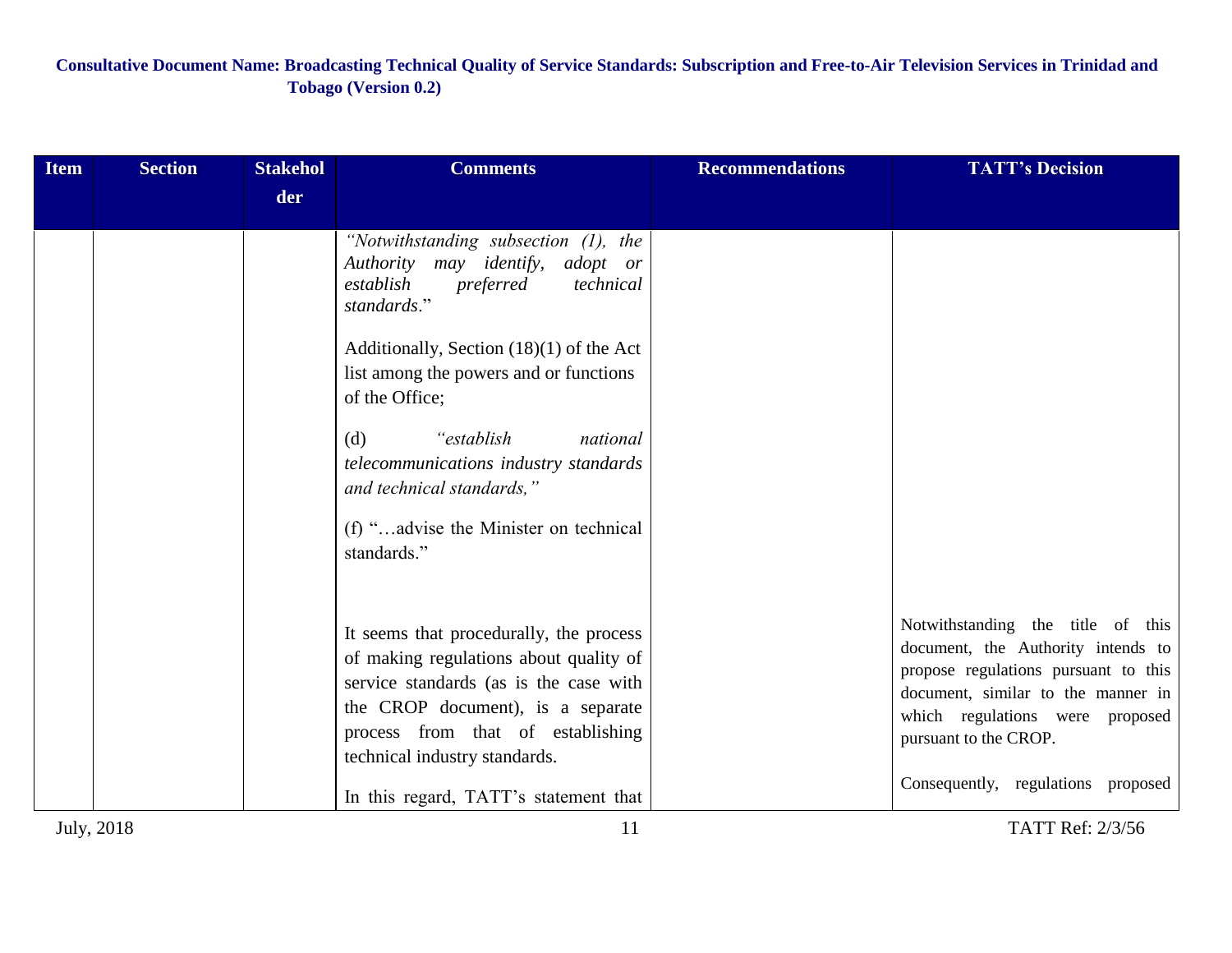| der<br>"Notwithstanding subsection $(1)$ , the<br>Authority may identify,<br>adopt or<br>establish<br>preferred<br>technical<br>standards."<br>Additionally, Section $(18)(1)$ of the Act<br>list among the powers and or functions<br>of the Office;<br>"establish"<br>(d)<br>national<br>telecommunications industry standards<br>and technical standards,"<br>(f) "advise the Minister on technical                                                          | <b>Item</b> | <b>Section</b> | <b>Stakehol</b> | <b>Comments</b> | <b>Recommendations</b> | <b>TATT's Decision</b>                                                  |
|-----------------------------------------------------------------------------------------------------------------------------------------------------------------------------------------------------------------------------------------------------------------------------------------------------------------------------------------------------------------------------------------------------------------------------------------------------------------|-------------|----------------|-----------------|-----------------|------------------------|-------------------------------------------------------------------------|
|                                                                                                                                                                                                                                                                                                                                                                                                                                                                 |             |                |                 |                 |                        |                                                                         |
|                                                                                                                                                                                                                                                                                                                                                                                                                                                                 |             |                |                 | standards."     |                        |                                                                         |
| It seems that procedurally, the process<br>of making regulations about quality of<br>propose regulations pursuant to this<br>service standards (as is the case with<br>document, similar to the manner in<br>the CROP document), is a separate<br>which regulations were proposed<br>process from that of establishing<br>pursuant to the CROP.<br>technical industry standards.<br>Consequently, regulations proposed<br>In this regard, TATT's statement that |             |                |                 |                 |                        | Notwithstanding the title of this<br>document, the Authority intends to |
| July, 2018<br>TATT Ref: 2/3/56<br>11                                                                                                                                                                                                                                                                                                                                                                                                                            |             |                |                 |                 |                        |                                                                         |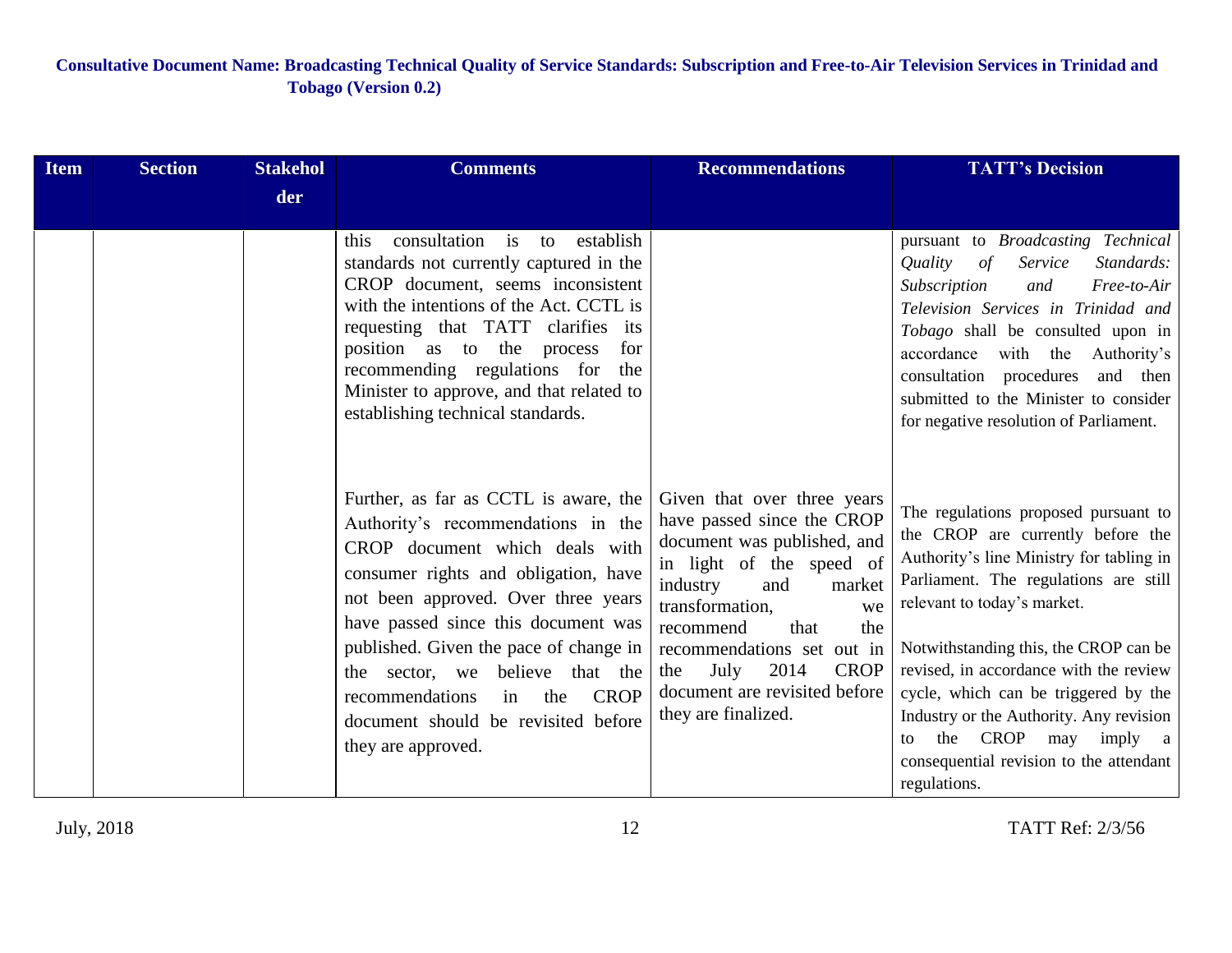| <b>Item</b> | <b>Section</b> | <b>Stakehol</b> | <b>Comments</b>                                                                                                                                                                                                                                                                                                                                                                                                              | <b>Recommendations</b>                                                                                                                                                                                                                                                                                                             | <b>TATT's Decision</b>                                                                                                                                                                                                                                                                                                                                                                                                                                          |
|-------------|----------------|-----------------|------------------------------------------------------------------------------------------------------------------------------------------------------------------------------------------------------------------------------------------------------------------------------------------------------------------------------------------------------------------------------------------------------------------------------|------------------------------------------------------------------------------------------------------------------------------------------------------------------------------------------------------------------------------------------------------------------------------------------------------------------------------------|-----------------------------------------------------------------------------------------------------------------------------------------------------------------------------------------------------------------------------------------------------------------------------------------------------------------------------------------------------------------------------------------------------------------------------------------------------------------|
|             |                | der             |                                                                                                                                                                                                                                                                                                                                                                                                                              |                                                                                                                                                                                                                                                                                                                                    |                                                                                                                                                                                                                                                                                                                                                                                                                                                                 |
|             |                |                 | consultation is to<br>establish<br>this<br>standards not currently captured in the<br>CROP document, seems inconsistent<br>with the intentions of the Act. CCTL is<br>requesting that TATT clarifies its<br>position as to the process<br>for<br>recommending regulations for<br>the<br>Minister to approve, and that related to<br>establishing technical standards.                                                        |                                                                                                                                                                                                                                                                                                                                    | pursuant to <i>Broadcasting Technical</i><br>Service<br>Standards:<br>Quality<br>$\sigma f$<br>Subscription<br>Free-to-Air<br>and<br>Television Services in Trinidad and<br>Tobago shall be consulted upon in<br>accordance with the Authority's<br>consultation procedures<br>and then<br>submitted to the Minister to consider<br>for negative resolution of Parliament.                                                                                      |
|             |                |                 | Further, as far as CCTL is aware, the<br>Authority's recommendations in the<br>CROP document which deals with<br>consumer rights and obligation, have<br>not been approved. Over three years<br>have passed since this document was<br>published. Given the pace of change in<br>the sector, we believe that the<br><b>CROP</b><br>recommendations<br>in<br>the<br>document should be revisited before<br>they are approved. | Given that over three years<br>have passed since the CROP<br>document was published, and<br>in light of the speed of<br>industry<br>and<br>market<br>transformation,<br>we<br>recommend<br>that<br>the<br>recommendations set out in<br>2014<br><b>CROP</b><br>July<br>the<br>document are revisited before<br>they are finalized. | The regulations proposed pursuant to<br>the CROP are currently before the<br>Authority's line Ministry for tabling in<br>Parliament. The regulations are still<br>relevant to today's market.<br>Notwithstanding this, the CROP can be<br>revised, in accordance with the review<br>cycle, which can be triggered by the<br>Industry or the Authority. Any revision<br>CROP may imply a<br>the<br>to<br>consequential revision to the attendant<br>regulations. |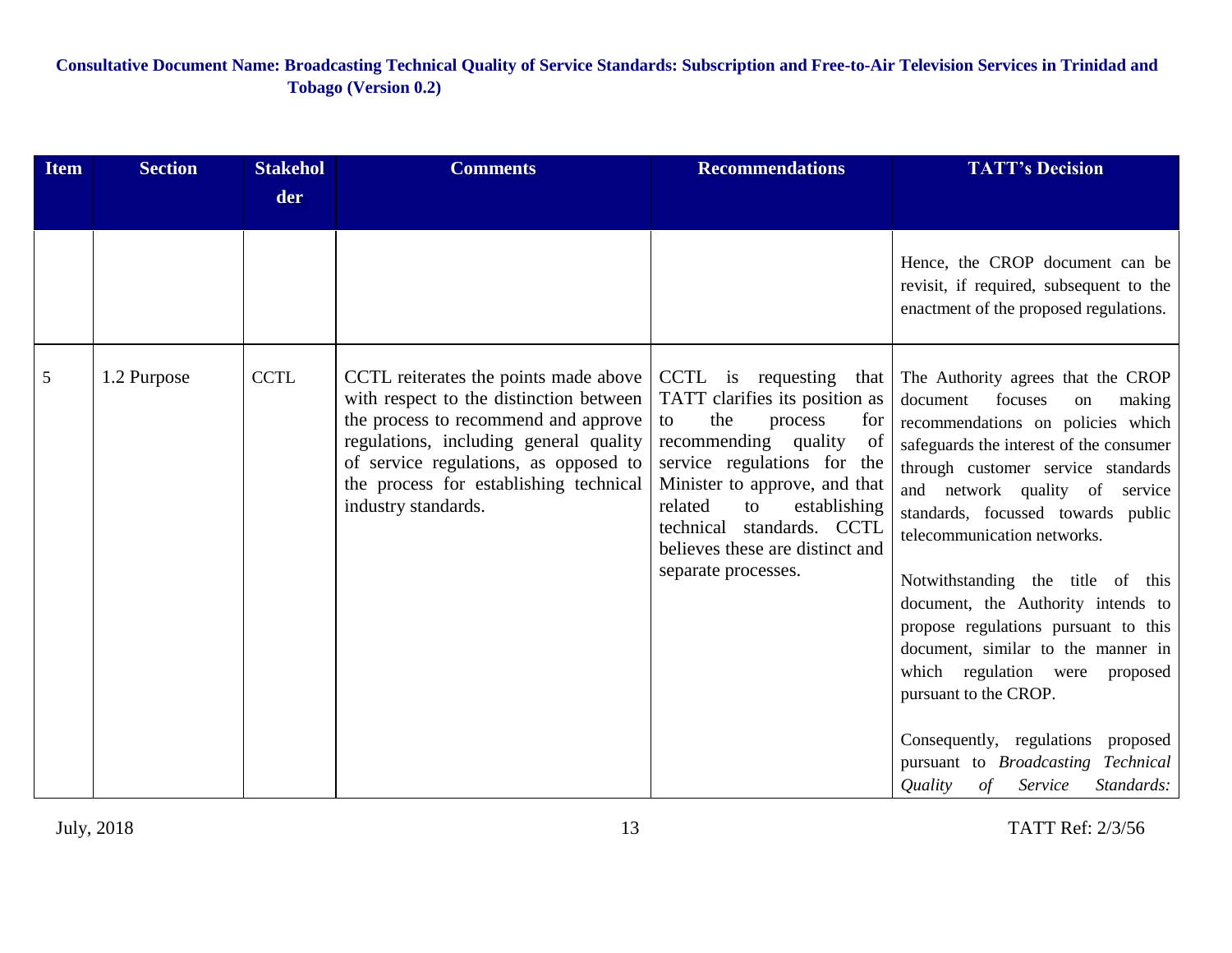| <b>Item</b> | <b>Section</b> | <b>Stakehol</b> | <b>Comments</b>                                                                                                                                                                                                                                                              | <b>Recommendations</b>                                                                                                                                                                                                                                                                                            | <b>TATT's Decision</b>                                                                                                                                                                                                                                                                                                                                                                                                                                                                                                                                                                                                                              |
|-------------|----------------|-----------------|------------------------------------------------------------------------------------------------------------------------------------------------------------------------------------------------------------------------------------------------------------------------------|-------------------------------------------------------------------------------------------------------------------------------------------------------------------------------------------------------------------------------------------------------------------------------------------------------------------|-----------------------------------------------------------------------------------------------------------------------------------------------------------------------------------------------------------------------------------------------------------------------------------------------------------------------------------------------------------------------------------------------------------------------------------------------------------------------------------------------------------------------------------------------------------------------------------------------------------------------------------------------------|
|             |                | der             |                                                                                                                                                                                                                                                                              |                                                                                                                                                                                                                                                                                                                   |                                                                                                                                                                                                                                                                                                                                                                                                                                                                                                                                                                                                                                                     |
|             |                |                 |                                                                                                                                                                                                                                                                              |                                                                                                                                                                                                                                                                                                                   | Hence, the CROP document can be<br>revisit, if required, subsequent to the<br>enactment of the proposed regulations.                                                                                                                                                                                                                                                                                                                                                                                                                                                                                                                                |
| 5           | 1.2 Purpose    | <b>CCTL</b>     | CCTL reiterates the points made above<br>with respect to the distinction between<br>the process to recommend and approve<br>regulations, including general quality<br>of service regulations, as opposed to<br>the process for establishing technical<br>industry standards. | CCTL is requesting<br>that<br>TATT clarifies its position as<br>the<br>process<br>for<br>to<br>recommending quality<br>of<br>service regulations for the<br>Minister to approve, and that<br>related<br>to<br>establishing<br>technical standards. CCTL<br>believes these are distinct and<br>separate processes. | The Authority agrees that the CROP<br>focuses<br>document<br>making<br>on<br>recommendations on policies which<br>safeguards the interest of the consumer<br>through customer service standards<br>and network quality of service<br>standards, focussed towards public<br>telecommunication networks.<br>Notwithstanding the title of this<br>document, the Authority intends to<br>propose regulations pursuant to this<br>document, similar to the manner in<br>which regulation were<br>proposed<br>pursuant to the CROP.<br>Consequently, regulations proposed<br>pursuant to Broadcasting Technical<br>Quality<br>of<br>Service<br>Standards: |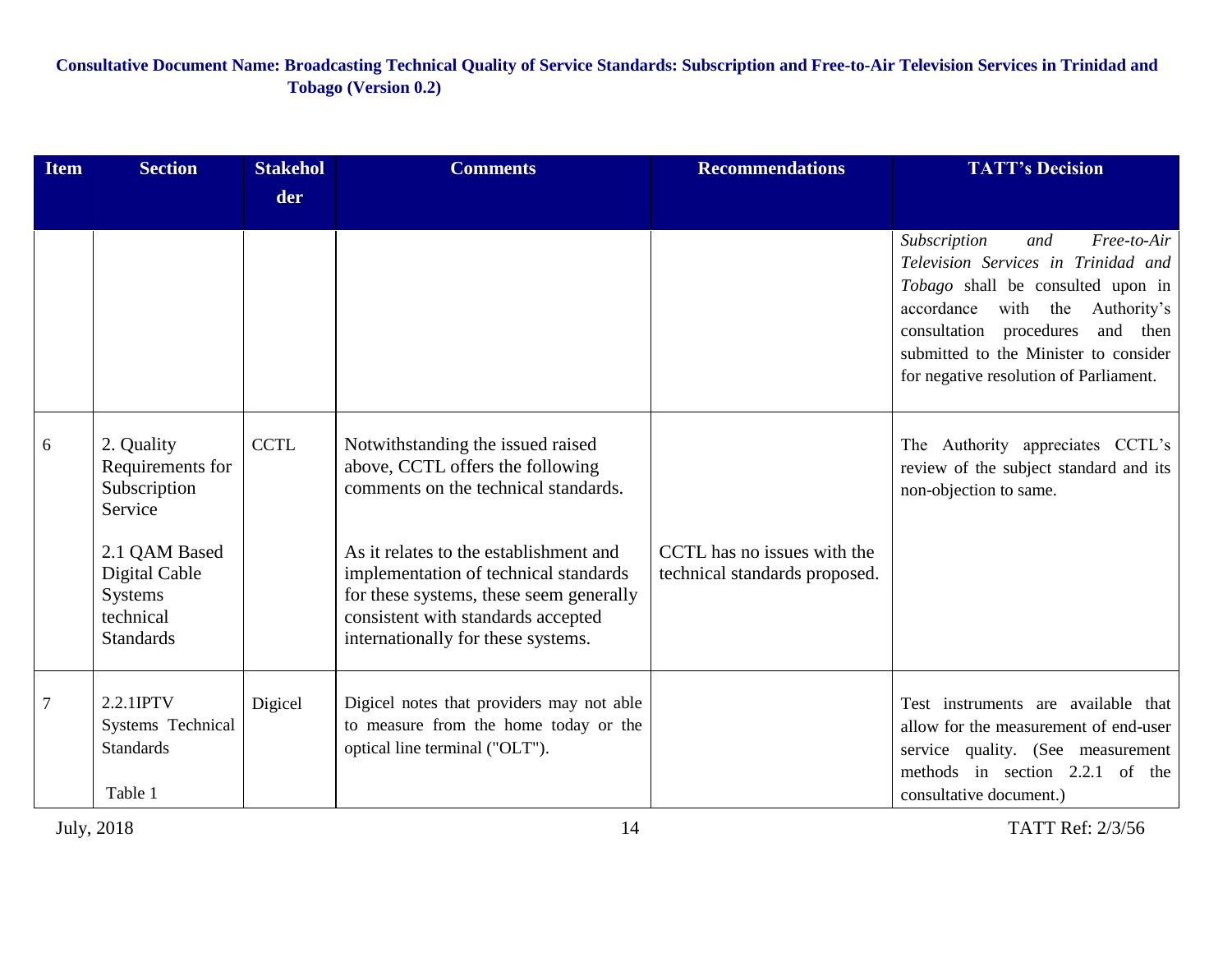| <b>Item</b>    | <b>Section</b>                                                                                                      | <b>Stakehol</b> | <b>Comments</b>                                                                                                                                                                                                                                                                   | <b>Recommendations</b>                                       | <b>TATT's Decision</b>                                                                                                                                                                                                                                                      |
|----------------|---------------------------------------------------------------------------------------------------------------------|-----------------|-----------------------------------------------------------------------------------------------------------------------------------------------------------------------------------------------------------------------------------------------------------------------------------|--------------------------------------------------------------|-----------------------------------------------------------------------------------------------------------------------------------------------------------------------------------------------------------------------------------------------------------------------------|
|                |                                                                                                                     | der             |                                                                                                                                                                                                                                                                                   |                                                              |                                                                                                                                                                                                                                                                             |
|                |                                                                                                                     |                 |                                                                                                                                                                                                                                                                                   |                                                              | Subscription<br>Free-to-Air<br>and<br>Television Services in Trinidad and<br>Tobago shall be consulted upon in<br>accordance with the Authority's<br>consultation procedures<br>and then<br>submitted to the Minister to consider<br>for negative resolution of Parliament. |
| 6              | 2. Quality<br>Requirements for<br>Subscription<br>Service<br>2.1 QAM Based<br>Digital Cable<br>Systems<br>technical | <b>CCTL</b>     | Notwithstanding the issued raised<br>above, CCTL offers the following<br>comments on the technical standards.<br>As it relates to the establishment and<br>implementation of technical standards<br>for these systems, these seem generally<br>consistent with standards accepted | CCTL has no issues with the<br>technical standards proposed. | The Authority appreciates CCTL's<br>review of the subject standard and its<br>non-objection to same.                                                                                                                                                                        |
|                | <b>Standards</b>                                                                                                    |                 | internationally for these systems.                                                                                                                                                                                                                                                |                                                              |                                                                                                                                                                                                                                                                             |
| $\overline{7}$ | 2.2.1IPTV<br>Systems Technical<br><b>Standards</b><br>Table 1                                                       | Digicel         | Digicel notes that providers may not able<br>to measure from the home today or the<br>optical line terminal ("OLT").                                                                                                                                                              |                                                              | Test instruments are available that<br>allow for the measurement of end-user<br>service quality. (See measurement<br>methods in section 2.2.1 of the<br>consultative document.)                                                                                             |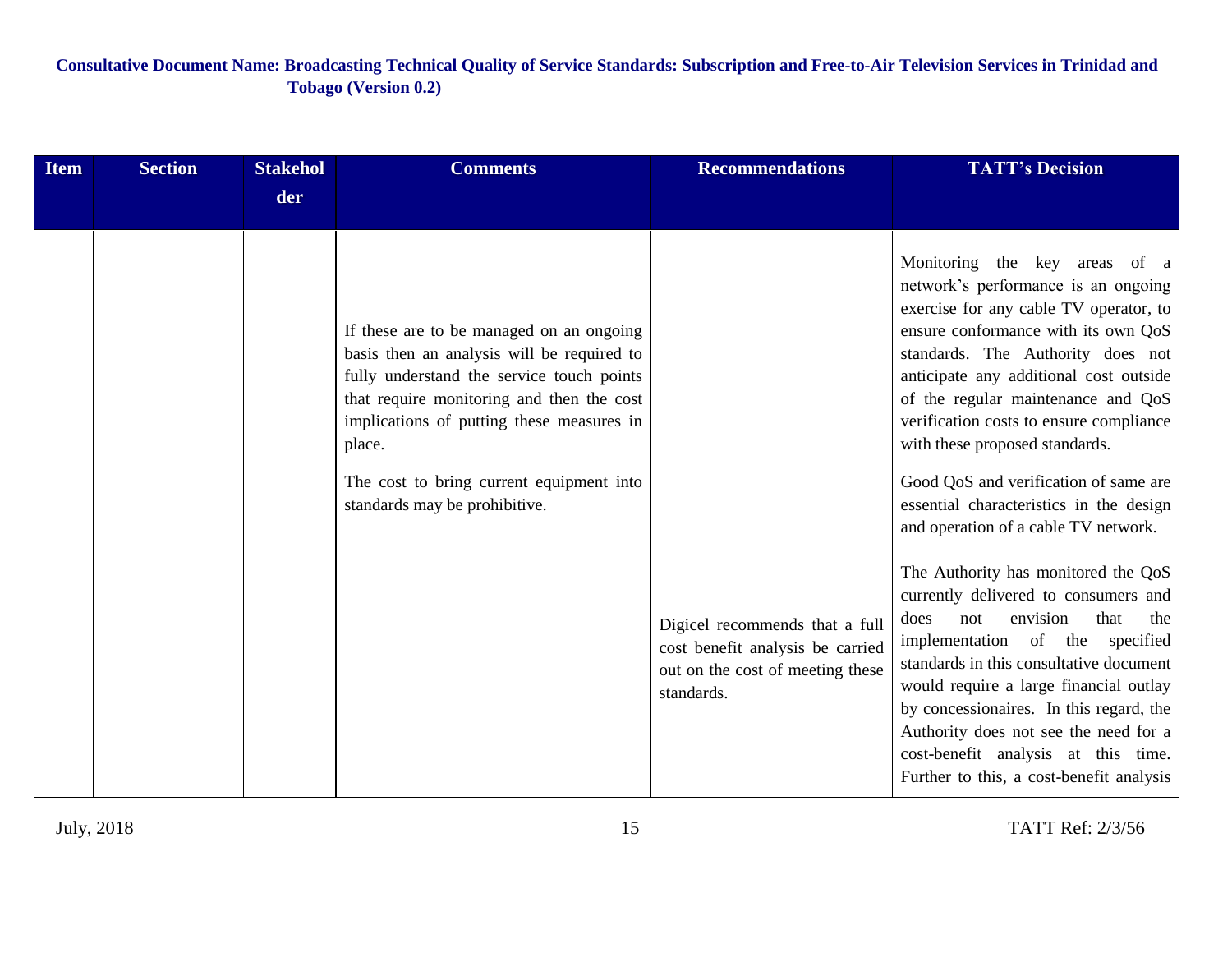| <b>Item</b> | <b>Section</b> | <b>Stakehol</b> | <b>Comments</b>                                                                                                                                                                                                                                                                                                      | <b>Recommendations</b>                                                                                               | <b>TATT's Decision</b>                                                                                                                                                                                                                                                                                                                                                                                                                                                              |
|-------------|----------------|-----------------|----------------------------------------------------------------------------------------------------------------------------------------------------------------------------------------------------------------------------------------------------------------------------------------------------------------------|----------------------------------------------------------------------------------------------------------------------|-------------------------------------------------------------------------------------------------------------------------------------------------------------------------------------------------------------------------------------------------------------------------------------------------------------------------------------------------------------------------------------------------------------------------------------------------------------------------------------|
|             |                | der             |                                                                                                                                                                                                                                                                                                                      |                                                                                                                      |                                                                                                                                                                                                                                                                                                                                                                                                                                                                                     |
|             |                |                 | If these are to be managed on an ongoing<br>basis then an analysis will be required to<br>fully understand the service touch points<br>that require monitoring and then the cost<br>implications of putting these measures in<br>place.<br>The cost to bring current equipment into<br>standards may be prohibitive. |                                                                                                                      | Monitoring the key areas of a<br>network's performance is an ongoing<br>exercise for any cable TV operator, to<br>ensure conformance with its own QoS<br>standards. The Authority does not<br>anticipate any additional cost outside<br>of the regular maintenance and QoS<br>verification costs to ensure compliance<br>with these proposed standards.<br>Good QoS and verification of same are<br>essential characteristics in the design<br>and operation of a cable TV network. |
|             |                |                 |                                                                                                                                                                                                                                                                                                                      | Digicel recommends that a full<br>cost benefit analysis be carried<br>out on the cost of meeting these<br>standards. | The Authority has monitored the QoS<br>currently delivered to consumers and<br>envision<br>that<br>does<br>not<br>the<br>implementation of the specified<br>standards in this consultative document<br>would require a large financial outlay<br>by concessionaires. In this regard, the<br>Authority does not see the need for a<br>cost-benefit analysis at this time.<br>Further to this, a cost-benefit analysis                                                                |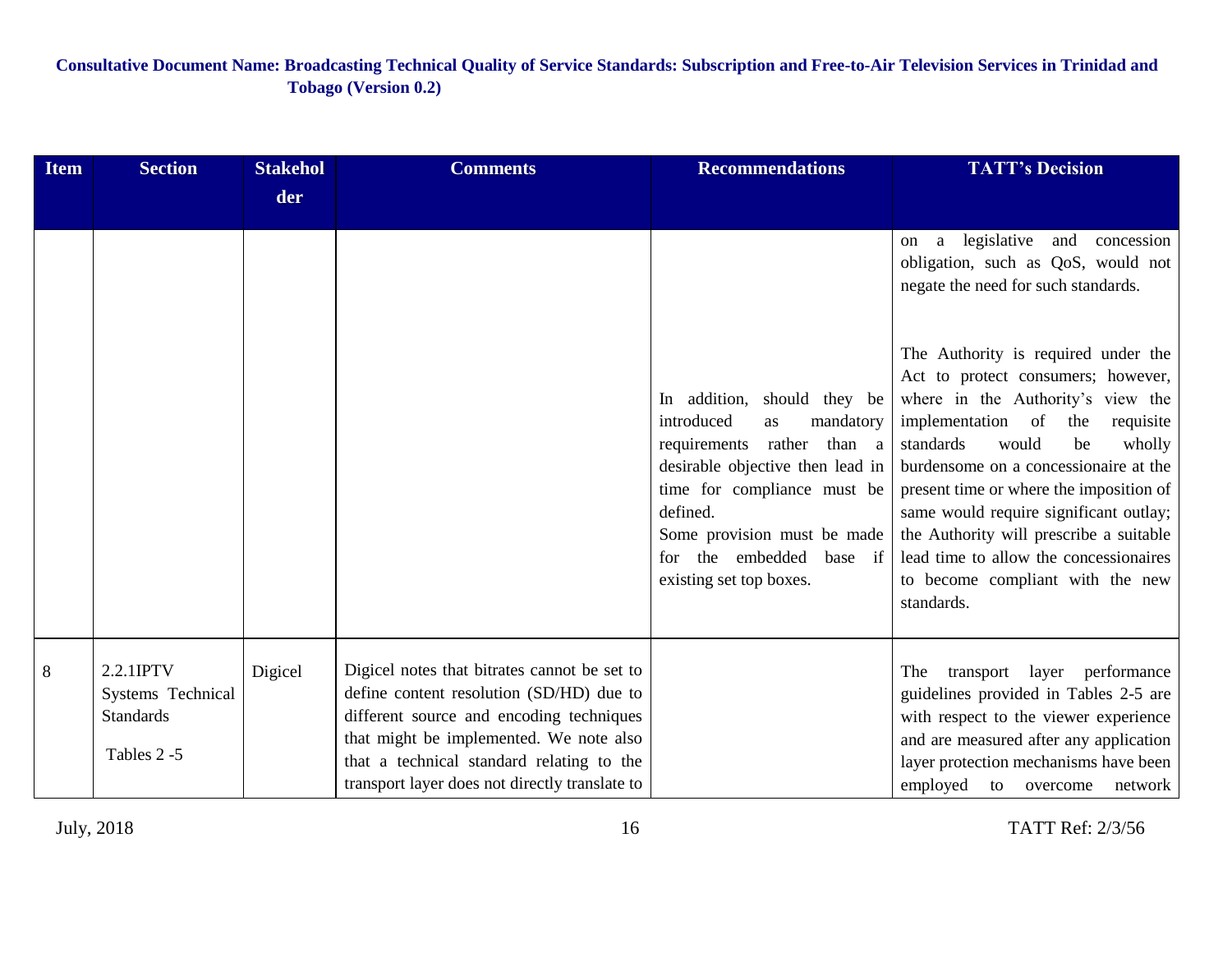| <b>Item</b> | <b>Section</b>                                                    | <b>Stakehol</b> | <b>Comments</b>                                                                                                                                                                                                                                                                | <b>Recommendations</b>                                                                                                                                                                                                                                             | <b>TATT's Decision</b>                                                                                                                                                                                                                                                                                                                                                                                                                                             |
|-------------|-------------------------------------------------------------------|-----------------|--------------------------------------------------------------------------------------------------------------------------------------------------------------------------------------------------------------------------------------------------------------------------------|--------------------------------------------------------------------------------------------------------------------------------------------------------------------------------------------------------------------------------------------------------------------|--------------------------------------------------------------------------------------------------------------------------------------------------------------------------------------------------------------------------------------------------------------------------------------------------------------------------------------------------------------------------------------------------------------------------------------------------------------------|
|             |                                                                   | der             |                                                                                                                                                                                                                                                                                |                                                                                                                                                                                                                                                                    |                                                                                                                                                                                                                                                                                                                                                                                                                                                                    |
|             |                                                                   |                 |                                                                                                                                                                                                                                                                                |                                                                                                                                                                                                                                                                    | legislative and concession<br>a<br>on<br>obligation, such as QoS, would not<br>negate the need for such standards.                                                                                                                                                                                                                                                                                                                                                 |
|             |                                                                   |                 |                                                                                                                                                                                                                                                                                | In addition, should they be<br>introduced<br>mandatory<br>as<br>requirements rather than a<br>desirable objective then lead in<br>time for compliance must be<br>defined.<br>Some provision must be made<br>for the embedded<br>base if<br>existing set top boxes. | The Authority is required under the<br>Act to protect consumers; however,<br>where in the Authority's view the<br>implementation of<br>the<br>requisite<br>standards<br>would<br>be<br>wholly<br>burdensome on a concessionaire at the<br>present time or where the imposition of<br>same would require significant outlay;<br>the Authority will prescribe a suitable<br>lead time to allow the concessionaires<br>to become compliant with the new<br>standards. |
| 8           | 2.2.1IPTV<br>Systems Technical<br><b>Standards</b><br>Tables 2 -5 | Digicel         | Digicel notes that bitrates cannot be set to<br>define content resolution (SD/HD) due to<br>different source and encoding techniques<br>that might be implemented. We note also<br>that a technical standard relating to the<br>transport layer does not directly translate to |                                                                                                                                                                                                                                                                    | The<br>transport layer performance<br>guidelines provided in Tables 2-5 are<br>with respect to the viewer experience<br>and are measured after any application<br>layer protection mechanisms have been<br>employed to overcome<br>network                                                                                                                                                                                                                         |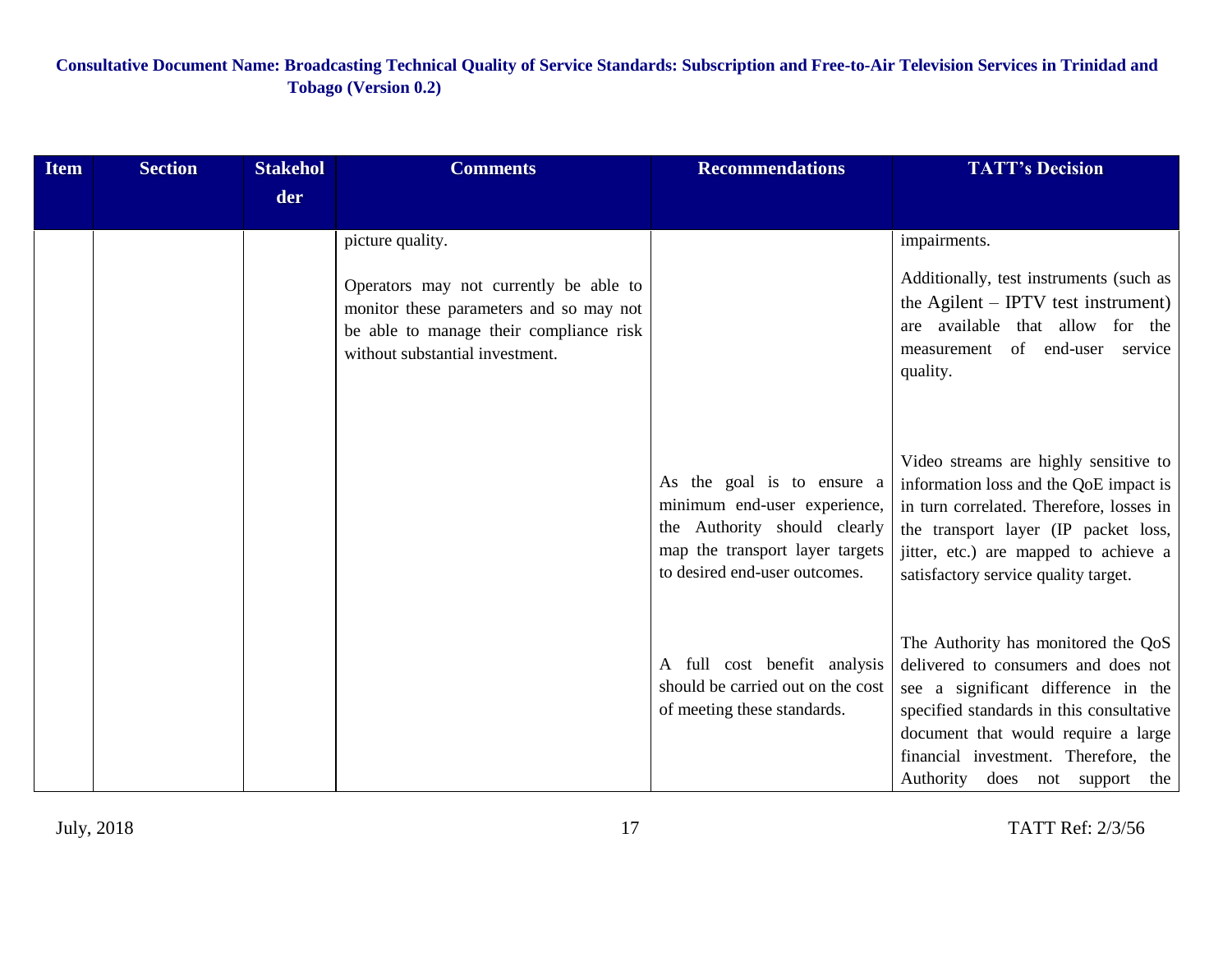| <b>Item</b> | <b>Section</b> | <b>Stakehol</b> | <b>Comments</b>                                                                                                                                                                     | <b>Recommendations</b>                                                                                                                                         | <b>TATT's Decision</b>                                                                                                                                                                                                                                                         |
|-------------|----------------|-----------------|-------------------------------------------------------------------------------------------------------------------------------------------------------------------------------------|----------------------------------------------------------------------------------------------------------------------------------------------------------------|--------------------------------------------------------------------------------------------------------------------------------------------------------------------------------------------------------------------------------------------------------------------------------|
|             |                | der             |                                                                                                                                                                                     |                                                                                                                                                                |                                                                                                                                                                                                                                                                                |
|             |                |                 | picture quality.<br>Operators may not currently be able to<br>monitor these parameters and so may not<br>be able to manage their compliance risk<br>without substantial investment. |                                                                                                                                                                | impairments.<br>Additionally, test instruments (such as<br>the Agilent $-$ IPTV test instrument)<br>are available that allow for the<br>measurement of end-user service<br>quality.                                                                                            |
|             |                |                 |                                                                                                                                                                                     | As the goal is to ensure a<br>minimum end-user experience,<br>the Authority should clearly<br>map the transport layer targets<br>to desired end-user outcomes. | Video streams are highly sensitive to<br>information loss and the QoE impact is<br>in turn correlated. Therefore, losses in<br>the transport layer (IP packet loss,<br>jitter, etc.) are mapped to achieve a<br>satisfactory service quality target.                           |
|             |                |                 |                                                                                                                                                                                     | A full cost benefit analysis<br>should be carried out on the cost<br>of meeting these standards.                                                               | The Authority has monitored the QoS<br>delivered to consumers and does not<br>see a significant difference in the<br>specified standards in this consultative<br>document that would require a large<br>financial investment. Therefore, the<br>Authority does not support the |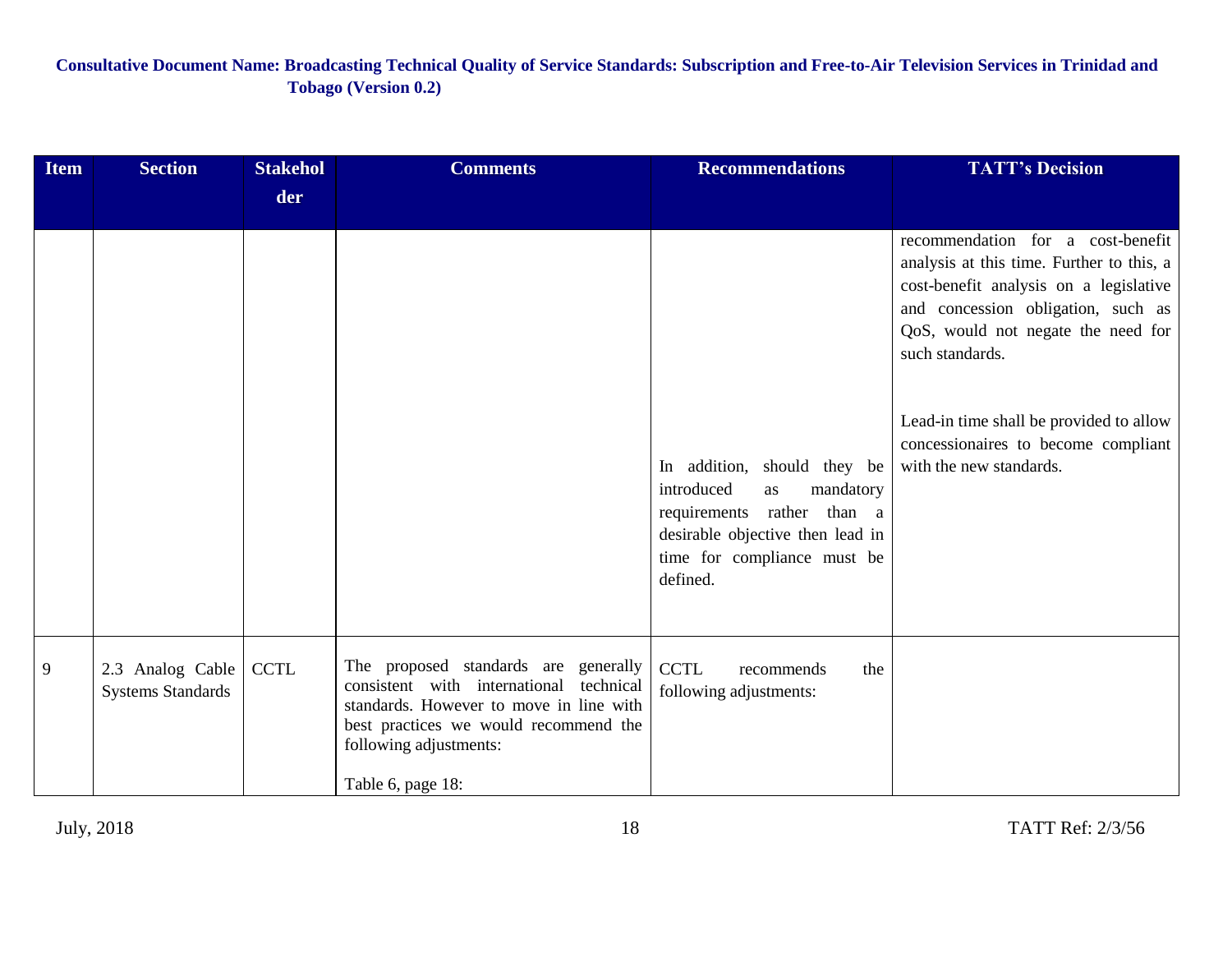| <b>Item</b> | <b>Section</b>                               | <b>Stakehol</b> | <b>Comments</b>                                                                                                                                                                                                    | <b>Recommendations</b>                                                                                                                                                    | <b>TATT's Decision</b>                                                                                                                                                                                                  |
|-------------|----------------------------------------------|-----------------|--------------------------------------------------------------------------------------------------------------------------------------------------------------------------------------------------------------------|---------------------------------------------------------------------------------------------------------------------------------------------------------------------------|-------------------------------------------------------------------------------------------------------------------------------------------------------------------------------------------------------------------------|
|             |                                              | der             |                                                                                                                                                                                                                    |                                                                                                                                                                           |                                                                                                                                                                                                                         |
|             |                                              |                 |                                                                                                                                                                                                                    |                                                                                                                                                                           | recommendation for a cost-benefit<br>analysis at this time. Further to this, a<br>cost-benefit analysis on a legislative<br>and concession obligation, such as<br>QoS, would not negate the need for<br>such standards. |
|             |                                              |                 |                                                                                                                                                                                                                    | In addition, should they be<br>introduced<br>mandatory<br>as<br>requirements rather than a<br>desirable objective then lead in<br>time for compliance must be<br>defined. | Lead-in time shall be provided to allow<br>concessionaires to become compliant<br>with the new standards.                                                                                                               |
| 9           | 2.3 Analog Cable<br><b>Systems Standards</b> | <b>CCTL</b>     | The proposed standards are generally<br>consistent with international technical<br>standards. However to move in line with<br>best practices we would recommend the<br>following adjustments:<br>Table 6, page 18: | <b>CCTL</b><br>the<br>recommends<br>following adjustments:                                                                                                                |                                                                                                                                                                                                                         |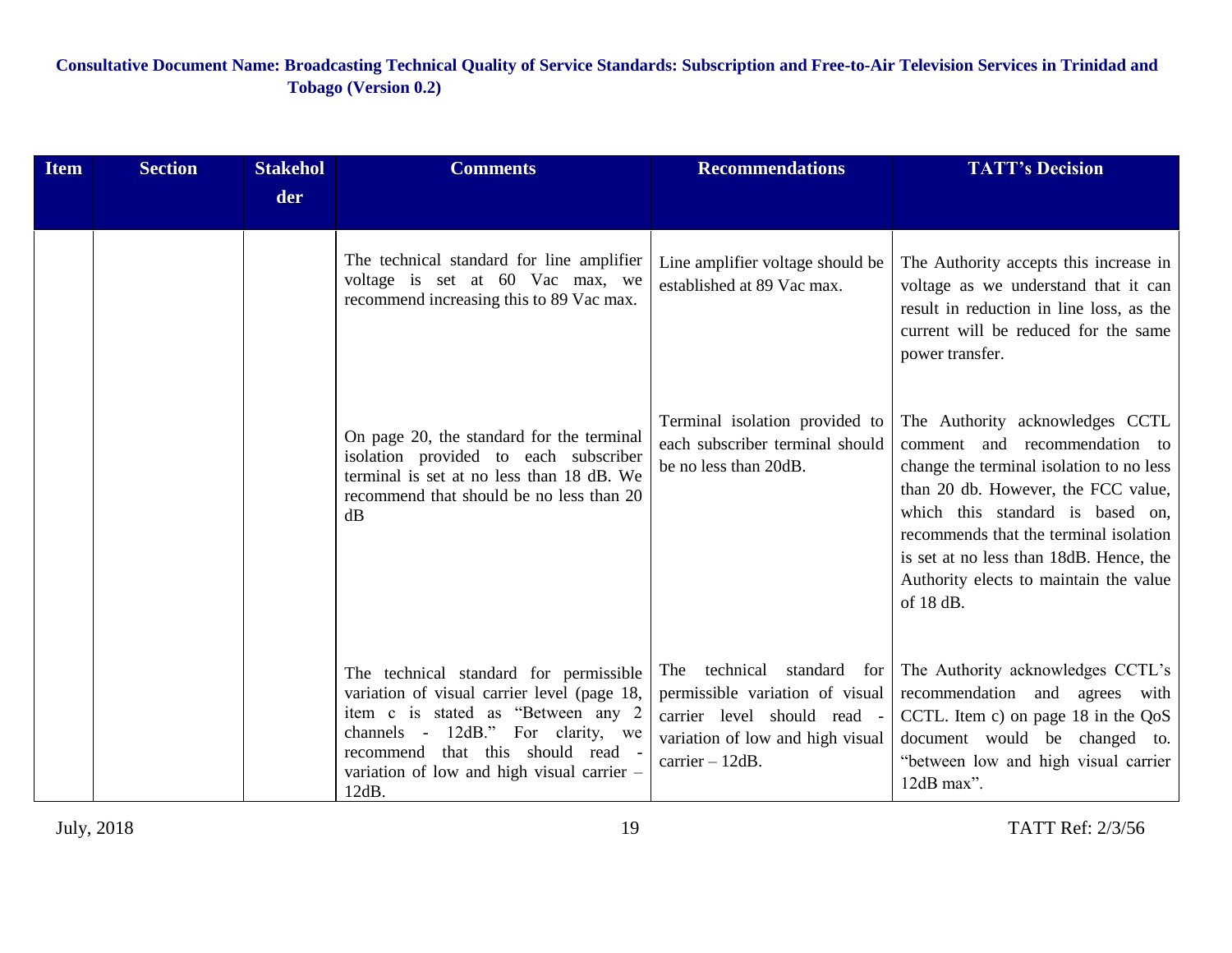| <b>Item</b> | <b>Section</b> | <b>Stakehol</b> | <b>Comments</b>                                                                                                                                                                                                                                              | <b>Recommendations</b>                                                                                                                                 | <b>TATT's Decision</b>                                                                                                                                                                                                                                                                                                              |
|-------------|----------------|-----------------|--------------------------------------------------------------------------------------------------------------------------------------------------------------------------------------------------------------------------------------------------------------|--------------------------------------------------------------------------------------------------------------------------------------------------------|-------------------------------------------------------------------------------------------------------------------------------------------------------------------------------------------------------------------------------------------------------------------------------------------------------------------------------------|
|             |                | der             |                                                                                                                                                                                                                                                              |                                                                                                                                                        |                                                                                                                                                                                                                                                                                                                                     |
|             |                |                 | The technical standard for line amplifier<br>voltage is set at 60 Vac max, we<br>recommend increasing this to 89 Vac max.                                                                                                                                    | Line amplifier voltage should be<br>established at 89 Vac max.                                                                                         | The Authority accepts this increase in<br>voltage as we understand that it can<br>result in reduction in line loss, as the<br>current will be reduced for the same<br>power transfer.                                                                                                                                               |
|             |                |                 | On page 20, the standard for the terminal<br>isolation provided to each subscriber<br>terminal is set at no less than 18 dB. We<br>recommend that should be no less than 20<br>dB                                                                            | Terminal isolation provided to<br>each subscriber terminal should<br>be no less than 20dB.                                                             | The Authority acknowledges CCTL<br>comment and recommendation to<br>change the terminal isolation to no less<br>than 20 db. However, the FCC value,<br>which this standard is based on,<br>recommends that the terminal isolation<br>is set at no less than 18dB. Hence, the<br>Authority elects to maintain the value<br>of 18 dB. |
|             |                |                 | The technical standard for permissible<br>variation of visual carrier level (page 18,<br>item c is stated as "Between any 2<br>channels - 12dB." For clarity, we<br>recommend that this should read -<br>variation of low and high visual carrier -<br>12dB. | technical standard for<br>The<br>permissible variation of visual<br>carrier level should read -<br>variation of low and high visual<br>carrier - 12dB. | The Authority acknowledges CCTL's<br>recommendation and agrees with<br>CCTL. Item c) on page $18$ in the $QoS$<br>document would be changed to.<br>"between low and high visual carrier<br>12dB max".                                                                                                                               |